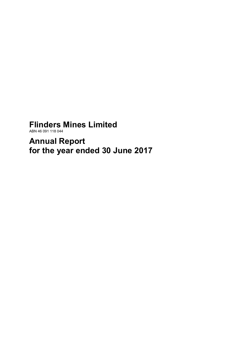# **Flinders Mines Limited**

ABN 46 091 118 044

**Annual Report for the year ended 30 June 2017**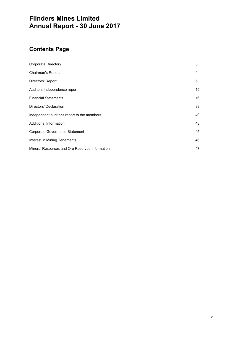# **Flinders Mines Limited Annual Report - 30 June 2017**

# **Contents Page**

| <b>Corporate Directory</b>                     | 3  |
|------------------------------------------------|----|
| Chairman's Report                              | 4  |
| Directors' Report                              | 5  |
| Auditors Independence report                   | 15 |
| <b>Financial Statements</b>                    | 16 |
| Directors' Declaration                         | 39 |
| Independent auditor's report to the members    | 40 |
| Additional Information                         | 43 |
| Corporate Governance Statement                 | 45 |
| Interest in Mining Tenements                   | 46 |
| Mineral Resources and Ore Reserves Information | 47 |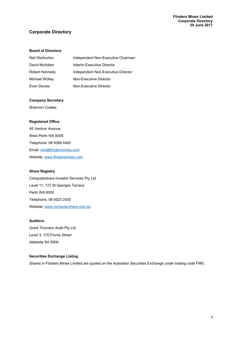# **Corporate Directory**

# **Board of Directors**

| Neil Warburton | Independent Non-Executive Chairman |
|----------------|------------------------------------|
| David McAdam   | Interim Executive Director         |
| Robert Kennedy | Independent Non-Executive Director |
| Michael Wolley | Non-Executive Director             |
| Evan Davies    | Non-Executive Director             |

# **Company Secretary**

Shannon Coates

# **Registered Office**

45 Ventnor Avenue West Perth WA 6005 Telephone: 08 9389 4483 Email: info@flindersmines.com Website: www.flindersmines.com

# **Share Registry**

Computershare Investor Services Pty Ltd Level 11, 172 St Georges Terrace Perth WA 6000 Telephone: 08 9323 2000 Website: www.computershare.com.au

# **Auditors**

Grant Thornton Audit Pty Ltd Level 3, 170 Frome Street Adelaide SA 5000

# **Securities Exchange Listing**

Shares in Flinders Mines Limited are quoted on the Australian Securities Exchange under trading code FMS.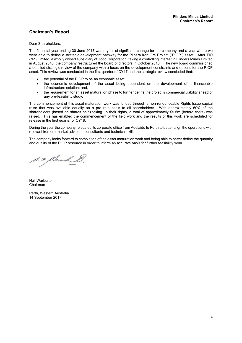# **Chairman's Report**

Dear Shareholders,

The financial year ending 30 June 2017 was a year of significant change for the company and a year where we were able to define a strategic development pathway for the Pilbara Iron Ore Project ("PIOP") asset. After TIO (NZ) Limited, a wholly owned subsidiary of Todd Corporation, taking a controlling interest in Flinders Mines Limited in August 2016, the company restructured the board of directors in October 2016. The new board commissioned a detailed strategic review of the company with a focus on the development constraints and options for the PIOP asset. This review was conducted in the first quarter of CY17 and the strategic review concluded that:

- the potential of the PIOP to be an economic asset;
- the economic development of the asset being dependent on the development of a financeable infrastructure solution; and,
- the requirement for an asset maturation phase to further define the project's commercial viability ahead of any pre-feasibility study.

The commencement of this asset maturation work was funded through a non-renounceable Rights Issue capital raise that was available equally on a pro rata basis to all shareholders. With approximately 60% of the shareholders (based on shares held) taking up their rights, a total of approximately \$9.5m (before costs) was raised. This has enabled the commencement of the field work and the results of this work are scheduled for release in the first quarter of CY18.

During the year the company relocated its corporate office from Adelaide to Perth to better align the operations with relevant iron ore market advisors, consultants and technical skills.

The company looks forward to completion of the asset maturation work and being able to better define the quantity and quality of the PIOP resource in order to inform an accurate basis for further feasibility work.

A.F. Klenk &

Neil Warburton Chairman

Perth, Western Australia 14 September 2017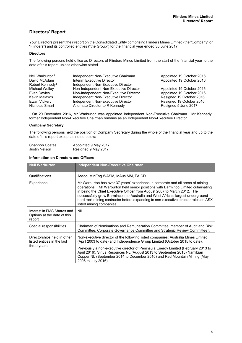# **Directors' Report**

Your Directors present their report on the Consolidated Entity comprising Flinders Mines Limited (the "Company" or "Flinders") and its controlled entities ("the Group") for the financial year ended 30 June 2017.

# **Directors**

The following persons held office as Directors of Flinders Mines Limited from the start of the financial year to the date of this report, unless otherwise stated.

| Neil Warburton <sup>1</sup> | Independent Non-Executive Chairman     | Appointed 19 October 2016 |
|-----------------------------|----------------------------------------|---------------------------|
| David McAdam                | Interim Executive Director             | Appointed 19 October 2016 |
| Robert Kennedy <sup>1</sup> | Independent Non-Executive Director     |                           |
| Michael Wolley              | Non-Independent Non-Executive Director | Appointed 19 October 2016 |
| Evan Davies                 | Non-Independent Non-Executive Director | Appointed 19 October 2016 |
| Kevin Malaxos               | Independent Non-Executive Director     | Resigned 19 October 2016  |
| Ewan Vickery                | Independent Non-Executive Director     | Resigned 19 October 2016  |
| Nicholas Smart              | Alternate Director to R Kennedy        | Resigned 5 June 2017      |

1 On 20 December 2016, Mr Warburton was appointed Independent Non-Executive Chairman. Mr Kennedy, former Independent Non-Executive Chairman remains as an Independent Non-Executive Director.

# **Company Secretary**

The following persons held the position of Company Secretary during the whole of the financial year and up to the date of this report except as noted below:

| <b>Shannon Coates</b> | Appointed 9 May 2017 |
|-----------------------|----------------------|
| Justin Nelson         | Resigned 9 May 2017  |

# **Information on Directors and Officers**

| <b>Neil Warburton</b>                                                     | <b>Independent Non-Executive Chairman</b>                                                                                                                                                                                                                                                                                                                                                                                                            |
|---------------------------------------------------------------------------|------------------------------------------------------------------------------------------------------------------------------------------------------------------------------------------------------------------------------------------------------------------------------------------------------------------------------------------------------------------------------------------------------------------------------------------------------|
| Qualifications                                                            | Assoc. MinEng WASM, MAusIMM, FAICD                                                                                                                                                                                                                                                                                                                                                                                                                   |
| Experience                                                                | Mr Warburton has over 37 years' experience in corporate and all areas of mining<br>operations. Mr Warburton held senior positions with Barminco Limited culminating<br>in being the Chief Executive Officer from August 2007 to March 2012. He<br>successfully grew Barminco into Australia and West Africa's largest underground<br>hard rock mining contractor before expanding to non-executive director roles on ASX<br>listed mining companies. |
| Interest in FMS Shares and<br>Options at the date of this<br>report       | Nil                                                                                                                                                                                                                                                                                                                                                                                                                                                  |
| Special responsibilities                                                  | Chairman of Nominations and Remuneration Committee, member of Audit and Risk<br>Committee, Corporate Governance Committee and Strategic Review Committee <sup>1</sup> .                                                                                                                                                                                                                                                                              |
| Directorships held in other<br>listed entities in the last<br>three years | Non-executive director of the following listed companies: Australia Mines Limited<br>(April 2003 to date) and Independence Group Limited (October 2015 to date).<br>Previously a non-executive director of Peninsula Energy Limited (February 2013 to<br>April 2016), Sirius Resources NL (August 2013 to September 2015) Namibian<br>Copper NL (September 2014 to December 2016) and Red Mountain Mining (May<br>2006 to July 2016).                |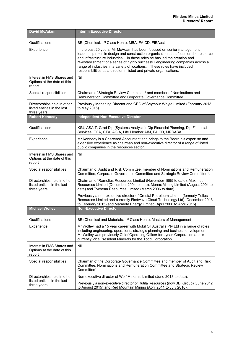| <b>David McAdam</b>                                                       | <b>Interim Executive Director</b>                                                                                                                                                                                                                                                                                                                                                                                                                                                  |
|---------------------------------------------------------------------------|------------------------------------------------------------------------------------------------------------------------------------------------------------------------------------------------------------------------------------------------------------------------------------------------------------------------------------------------------------------------------------------------------------------------------------------------------------------------------------|
| Qualifications                                                            | BE (Chemical, 1 <sup>st</sup> Class Hons), MBA, FAICD, FIEAust                                                                                                                                                                                                                                                                                                                                                                                                                     |
| Experience                                                                | In the past 20 years, Mr McAdam has been focused on senior management<br>leadership roles in design and construction organisations that focus on the resource<br>and infrastructure industries. In these roles he has led the creation and<br>re-establishment of a series of highly successful engineering companies across a<br>range of industries in a variety of locations.  These roles have included<br>responsibilities as a director in listed and private organisations. |
| Interest in FMS Shares and<br>Options at the date of this<br>report       | Nil                                                                                                                                                                                                                                                                                                                                                                                                                                                                                |
| Special responsibilities                                                  | Chairman of Strategic Review Committee <sup>1</sup> and member of Nominations and<br>Remuneration Committee and Corporate Governance Committee.                                                                                                                                                                                                                                                                                                                                    |
| Directorships held in other<br>listed entities in the last<br>three years | Previously Managing Director and CEO of Seymour Whyte Limited (February 2013<br>to May 2015).                                                                                                                                                                                                                                                                                                                                                                                      |
| <b>Robert Kennedy</b>                                                     | <b>Independent Non-Executive Director</b>                                                                                                                                                                                                                                                                                                                                                                                                                                          |
| Qualifications                                                            | KSJ, ASAIT, Grad Dip (Systems Analysis), Dip Financial Planning, Dip Financial<br>Services, FCA, CTA, AGIA, Life Member AIM, FAICD, MRSASA                                                                                                                                                                                                                                                                                                                                         |
| Experience                                                                | Mr Kennedy is a Chartered Accountant and brings to the Board his expertise and<br>extensive experience as chairman and non-executive director of a range of listed<br>public companies in the resources sector.                                                                                                                                                                                                                                                                    |
| Interest in FMS Shares and<br>Options at the date of this<br>report       | Nil                                                                                                                                                                                                                                                                                                                                                                                                                                                                                |
| Special responsibilities                                                  | Chairman of Audit and Risk Committee, member of Nominations and Remuneration<br>Committee, Corporate Governance Committee and Strategic Review Committee <sup>1</sup> .                                                                                                                                                                                                                                                                                                            |
| Directorships held in other<br>listed entities in the last<br>three years | Chairman of Ramelius Resources Limited (November 1995 to date), Maximus<br>Resources Limited (December 2004 to date), Monax Mining Limited (August 2004 to<br>date) and Tychean Resources Limited (March 2006 to date).                                                                                                                                                                                                                                                            |
|                                                                           | Previously a non-executive director of Crestal Petroleum Limited (formerly Tellus<br>Resources Limited and currently Firstwave Cloud Technology Ltd) (December 2013<br>to February 2015) and Marmota Energy Limited (April 2006 to April 2015).                                                                                                                                                                                                                                    |
| <b>Michael Wolley</b>                                                     | <b>Non-Executive Director</b>                                                                                                                                                                                                                                                                                                                                                                                                                                                      |
| Qualifications                                                            | BE (Chemical and Materials, 1 <sup>st</sup> Class Hons), Masters of Management                                                                                                                                                                                                                                                                                                                                                                                                     |
| Experience                                                                | Mr Wolley had a 15 year career with Mobil Oil Australia Pty Ltd in a range of roles<br>including engineering, operations, strategic planning and business development.<br>Mr Wolley was previously Chief Operating Officer for Lynas Corporation and is<br>currently Vice President Minerals for the Todd Corporation.                                                                                                                                                             |
| Interest in FMS Shares and<br>Options at the date of this<br>report       | Nil                                                                                                                                                                                                                                                                                                                                                                                                                                                                                |
| Special responsibilities                                                  | Chairman of the Corporate Governance Committee and member of Audit and Risk<br>Committee, Nominations and Remuneration Committee and Strategic Review<br>Committee <sup>1</sup> .                                                                                                                                                                                                                                                                                                  |
| Directorships held in other                                               | Non-executive director of Wolf Minerals Limited (June 2013 to date).                                                                                                                                                                                                                                                                                                                                                                                                               |
| listed entities in the last<br>three years                                | Previously a non-executive director of Rutila Resources (now BBI Group) (June 2012<br>to August 2015) and Red Mountain Mining (April 2011 to July 2016).                                                                                                                                                                                                                                                                                                                           |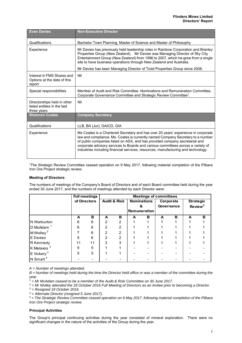| <b>Evan Davies</b>                                                        | <b>Non-Executive Director</b>                                                                                                                                                                                                                                                                                                                                                                                                |
|---------------------------------------------------------------------------|------------------------------------------------------------------------------------------------------------------------------------------------------------------------------------------------------------------------------------------------------------------------------------------------------------------------------------------------------------------------------------------------------------------------------|
| Qualifications                                                            | Bachelor Town Planning, Master of Science and Master of Philosophy                                                                                                                                                                                                                                                                                                                                                           |
| Experience                                                                | Mr Davies has previously held leadership roles in Rainbow Corporation and Brierley<br>Properties Group (New Zealand). Mr Davies was Managing Director of Sky City<br>Entertainment Group (New Zealand) from 1996 to 2007, which he grew from a single<br>site to have business operations through New Zealand and Australia.<br>Mr Davies has been Managing Director of Todd Properties Group since 2008.                    |
| Interest in FMS Shares and<br>Options at the date of this<br>report       | Nil                                                                                                                                                                                                                                                                                                                                                                                                                          |
| Special responsibilities                                                  | Member of Audit and Risk Committee, Nominations and Remuneration Committee,<br>Corporate Governance Committee and Strategic Review Committee <sup>1</sup> .                                                                                                                                                                                                                                                                  |
| Directorships held in other<br>listed entities in the last<br>three years | Nil                                                                                                                                                                                                                                                                                                                                                                                                                          |
| <b>Shannon Coates</b>                                                     | <b>Company Secretary</b>                                                                                                                                                                                                                                                                                                                                                                                                     |
| Qualifications                                                            | LLB, BA (Jur), GAICD, GIA                                                                                                                                                                                                                                                                                                                                                                                                    |
| Experience                                                                | Ms Coates is a Chartered Secretary and has over 20 years' experience in corporate<br>law and compliance. Ms. Coates is currently named Company Secretary to a number<br>of public companies listed on ASX, and has provided company secretarial and<br>corporate advisory services to Boards and various committees across a variety of<br>industries including financial services, resources, manufacturing and technology. |

1The Strategic Review Committee ceased operation on 9 May 2017, following material completion of the Pilbara Iron Ore Project strategic review.

# **Meeting of Directors**

The numbers of meetings of the Company's Board of Directors and of each Board committee held during the year ended 30 June 2017, and the numbers of meetings attended by each Director were:

|                          |                                         | <b>Full meetings</b> |                    |                | <b>Meetings of committees</b> |                     |                  |            |   |                     |
|--------------------------|-----------------------------------------|----------------------|--------------------|----------------|-------------------------------|---------------------|------------------|------------|---|---------------------|
|                          | <b>Audit &amp; Risk</b><br>of Directors |                      | <b>Nominations</b> |                | Corporate                     |                     | <b>Strategic</b> |            |   |                     |
|                          |                                         |                      |                    |                |                               |                     |                  | Governance |   | Review <sup>5</sup> |
|                          |                                         |                      |                    |                |                               | <b>Remuneration</b> |                  |            |   |                     |
|                          | A                                       | в                    | A                  | в              | A                             | в                   | A                | в          | A | в                   |
| N Warburton              | 6                                       | 6                    | $\mathfrak{p}$     | $\overline{2}$ |                               |                     |                  |            |   |                     |
| D McAdam <sup>1</sup>    | 6                                       | 6                    | 2                  | $\overline{2}$ |                               |                     |                  |            |   |                     |
| M Wolley <sup>2</sup>    |                                         | 6                    | 2                  | $\overline{2}$ |                               |                     |                  |            |   |                     |
| E Davies                 | 5                                       | 6                    | 2                  | $\overline{2}$ |                               |                     |                  |            |   |                     |
| R Kennedy                | 11                                      | 11                   | 3                  | 3              |                               |                     |                  |            |   |                     |
| K Malaxos <sup>3</sup>   | 5                                       | 5                    |                    |                |                               |                     |                  |            |   |                     |
| $E$ Vickery <sup>3</sup> | 5                                       | 5                    |                    |                |                               |                     |                  |            |   |                     |
| N Smart <sup>4</sup>     |                                         |                      |                    |                |                               |                     |                  |            |   |                     |

*A = Number of meetings attended.*

*B = Number of meetings held during the time the Director held office or was a member of the committee during the year.*

*1 = Mr McAdam ceased to be a member of the Audit & Risk Committee on 30 June 2017.* 

*2 = Mr Wolley attended the 18 October 2016 Full Meeting of Directors as an invitee prior to becoming a Director. 3 = Resigned 19 October 2016.* 

*4 = Alternate Director (resigned 5 June 2017).* 

*5 = The Strategic Review Committee ceased operation on 9 May 2017, following material completion of the Pilbara Iron Ore Project strategic review.* 

#### **Principal Activities**

The Group's principal continuing activities during the year consisted of mineral exploration. There were no significant changes in the nature of the activities of the Group during the year.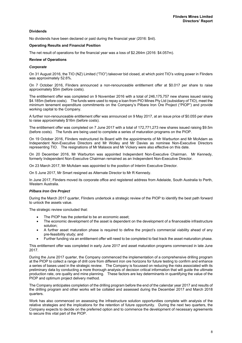# **Dividends**

No dividends have been declared or paid during the financial year (2016: \$nil).

#### **Operating Results and Financial Position**

The net result of operations for the financial year was a loss of \$2.264m (2016: \$4.057m).

#### **Review of Operations**

#### *Corporate*

On 31 August 2016, the TIO (NZ) Limited ("TIO") takeover bid closed, at which point TIO's voting power in Flinders was approximately 52.6%.

On 7 October 2016, Flinders announced a non-renounceable entitlement offer at \$0.017 per share to raise approximately \$5m (before costs).

The entitlement offer was completed on 9 November 2016 with a total of 246,175,757 new shares issued raising \$4.185m (before costs). The funds were used to repay a loan from PIO Mines Pty Ltd (subsidiary of TIO), meet the minimum tenement expenditure commitments on the Company's Pilbara Iron Ore Project ("PIOP") and provide working capital to the Company.

A further non-renounceable entitlement offer was announced on 9 May 2017, at an issue price of \$0.055 per share to raise approximately \$16m (before costs).

The entitlement offer was completed on 7 June 2017 with a total of 172,771,273 new shares issued raising \$9.5m (before costs). The funds are being used to complete a series of maturation programs on the PIOP.

On 19 October 2016, Flinders restructured its Board with the appointments of Mr Warburton and Mr McAdam as Independent Non-Executive Directors and Mr Wolley and Mr Davies as nominee Non-Executive Directors representing TIO. The resignations of Mr Malaxos and Mr Vickery were also effective on this date.

On 20 December 2016, Mr Warburton was appointed Independent Non-Executive Chairman. Mr Kennedy, formerly Independent Non-Executive Chairman remained as an Independent Non-Executive Director.

On 23 March 2017, Mr McAdam was appointed to the position of Interim Executive Director.

On 5 June 2017, Mr Smart resigned as Alternate Director to Mr R Kennedy.

In June 2017, Flinders moved its corporate office and registered address from Adelaide, South Australia to Perth, Western Australia.

#### *Pilbara Iron Ore Project*

During the March 2017 quarter, Flinders undertook a strategic review of the PIOP to identify the best path forward to unlock the assets value.

The strategic review concluded that:

- The PIOP has the potential to be an economic asset;
- The economic development of the asset is dependent on the development of a financeable infrastructure solution;
- A further asset maturation phase is required to define the project's commercial viability ahead of any pre-feasibility study; and
- Further funding via an entitlement offer will need to be completed to fast track the asset maturation phase.

This entitlement offer was completed in early June 2017 and asset maturation programs commenced in late June 2017.

During the June 2017 quarter, the Company commenced the implementation of a comprehensive drilling program at the PIOP to collect a range of drill core from different iron ore horizons for future testing to confirm and enhance a series of bases used in the strategic review. The Company is focussed on reducing the risks associated with its preliminary data by conducting a more thorough analysis of decision critical information that will guide the ultimate production rate, ore quality and mine planning. These factors are key determinants in quantifying the value of the PIOP and optimum project delivery method.

The Company anticipates completion of the drilling program before the end of the calendar year 2017 and results of the drilling program and other works will be collated and assessed during the December 2017 and March 2018 quarters.

Work has also commenced on assessing the infrastructure solution opportunities complete with analysis of the relative strategies and the implications for the retention of future opportunity. During the next two quarters, the Company expects to decide on the preferred option and to commence the development of necessary agreements to secure this vital part of the PIOP.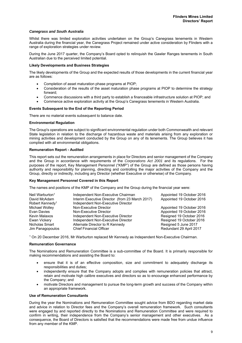# *Canegrass and South Australia*

Whilst there was limited exploration activities undertaken on the Group's Canegrass tenements in Western Australia during the financial year, the Canegrass Project remained under active consideration by Flinders with a range of exploration strategies under review.

During the June 2017 quarter, the Company's Board opted to relinquish the Gawler Ranges tenements in South Australian due to the perceived limited potential.

# **Likely Developments and Business Strategies**

The likely developments of the Group and the expected results of those developments in the current financial year are as follows:

- Completion of asset maturation phase programs at PIOP;
- Consideration of the results of the asset maturation phase programs at PIOP to determine the strategy forward;
- Commence discussions with a third party to establish a financeable infrastructure solution at PIOP; and
- Commence active exploration activity at the Group's Canegrass tenements in Western Australia.

#### **Events Subsequent to the End of the Reporting Period**

There are no material events subsequent to balance date.

#### **Environmental Regulation**

The Group's operations are subject to significant environmental regulation under both Commonwealth and relevant State legislation in relation to the discharge of hazardous waste and materials arising from any exploration or mining activities and development conducted by the Group on any of its tenements. The Group believes it has complied with all environmental obligations.

#### **Remuneration Report - Audited**

This report sets out the remuneration arrangements in place for Directors and senior management of the Company and the Group in accordance with requirements of the *Corporations Act 2001* and its regulations. For the purposes of the report, Key Management Personnel ("KMP") of the Group are defined as those persons having authority and responsibility for planning, directing and controlling the major activities of the Company and the Group, directly or indirectly, including any Director (whether Executive or otherwise) of the Company.

#### **Key Management Personnel Covered in this Report**

The names and positions of the KMP of the Company and the Group during the financial year were:

| Neil Warburton <sup>1</sup><br>David McAdam<br>Robert Kennedy <sup>1</sup> | Independent Non-Executive Chairman<br>Interim Executive Director (from 23 March 2017)<br>Independent Non-Executive Director | Appointed 19 October 2016<br>Appointed 19 October 2016 |
|----------------------------------------------------------------------------|-----------------------------------------------------------------------------------------------------------------------------|--------------------------------------------------------|
| Michael Wolley                                                             | Non-Executive Director                                                                                                      | Appointed 19 October 2016                              |
| Evan Davies                                                                | Non-Executive Director                                                                                                      | Appointed 19 October 2016                              |
| Kevin Malaxos                                                              | Independent Non-Executive Director                                                                                          | Resigned 19 October 2016                               |
| Ewan Vickery                                                               | Independent Non-Executive Director                                                                                          | Resigned 19 October 2016                               |
| Nicholas Smart                                                             | Alternate Director to R Kennedy                                                                                             | Resigned 5 June 2017                                   |
| Jim Panagopoulos                                                           | <b>Chief Financial Officer</b>                                                                                              | Redundant 29 April 2017                                |

1 On 20 December 2016, Mr Warburton replaced Mr Kennedy as Independent Non-Executive Chairman.

### **Remuneration Governance**

The Nominations and Remuneration Committee is a sub-committee of the Board. It is primarily responsible for making recommendations and assisting the Board to:

- ensure that it is of an effective composition, size and commitment to adequately discharge its responsibilities and duties;
- independently ensure that the Company adopts and complies with remuneration policies that attract, retain and motivate high calibre executives and directors so as to encourage enhanced performance by the Company; and
- motivate Directors and management to pursue the long-term growth and success of the Company within an appropriate framework.

#### **Use of Remuneration Consultants**

During the year the Nominations and Remuneration Committee sought advice from BDO regarding market data and advice in relation to Director fees and the Company's overall remuneration framework. Such consultants were engaged by and reported directly to the Nominations and Remuneration Committee and were required to confirm in writing, their independence from the Company's senior management and other executives. As a consequence, the Board of Directors is satisfied that the recommendations were made free from undue influence from any member of the KMP.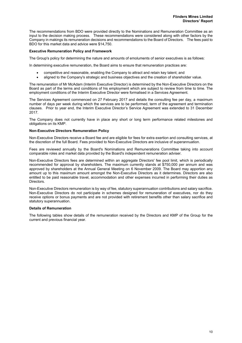The recommendations from BDO were provided directly to the Nominations and Remuneration Committee as an input to the decision making process. These recommendations were considered along with other factors by the Company in makings its remuneration decisions and recommendations to the Board of Directors. The fees paid to BDO for this market data and advice were \$14,750.

## **Executive Remuneration Policy and Framework**

The Group's policy for determining the nature and amounts of emoluments of senior executives is as follows:

In determining executive remuneration, the Board aims to ensure that remuneration practices are:

- competitive and reasonable, enabling the Company to attract and retain key talent; and
- aligned to the Company's strategic and business objectives and the creation of shareholder value.

The remuneration of Mr McAdam (Interim Executive Director) is determined by the Non-Executive Directors on the Board as part of the terms and conditions of his employment which are subject to review from time to time. The employment conditions of the Interim Executive Director were formalised in a Services Agreement.

The Services Agreement commenced on 27 February 2017 and details the consulting fee per day, a maximum number of days per week during which the services are to be performed, term of the agreement and termination clauses. Prior to year end, the Interim Executive Director's Service Agreement was extended to 31 December 2017.

The Company does not currently have in place any short or long term performance related milestones and obligations on its KMP.

#### **Non-Executive Directors Remuneration Policy**

Non-Executive Directors receive a Board fee and are eligible for fees for extra exertion and consulting services, at the discretion of the full Board. Fees provided to Non-Executive Directors are inclusive of superannuation.

Fees are reviewed annually by the Board's Nominations and Remunerations Committee taking into account comparable roles and market data provided by the Board's independent remuneration adviser.

Non-Executive Directors fees are determined within an aggregate Directors' fee pool limit, which is periodically recommended for approval by shareholders. The maximum currently stands at \$750,000 per annum and was approved by shareholders at the Annual General Meeting on 6 November 2009. The Board may apportion any amount up to this maximum amount amongst the Non-Executive Directors as it determines. Directors are also entitled to be paid reasonable travel, accommodation and other expenses incurred in performing their duties as Directors.

Non-Executive Directors remuneration is by way of fee, statutory superannuation contributions and salary sacrifice. Non-Executive Directors do not participate in schemes designed for remuneration of executives, nor do they receive options or bonus payments and are not provided with retirement benefits other than salary sacrifice and statutory superannuation.

#### **Details of Remuneration**

The following tables show details of the remuneration received by the Directors and KMP of the Group for the current and previous financial year.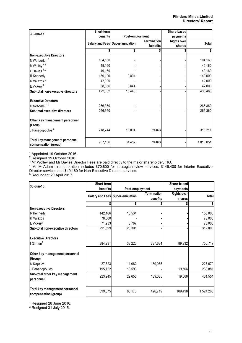| 30-Jun-17                                              | Short-term |                                 |                    | Share-based        |              |
|--------------------------------------------------------|------------|---------------------------------|--------------------|--------------------|--------------|
|                                                        | benefits   |                                 | Post-employment    |                    |              |
|                                                        |            | Salary and Fees Super-annuation | <b>Termination</b> | <b>Rights over</b> | <b>Total</b> |
|                                                        |            |                                 | benefits           | shares             |              |
|                                                        |            | \$                              |                    |                    |              |
| <b>Non-executive Directors</b>                         |            |                                 |                    |                    |              |
| N Warburton <sup>1</sup>                               | 104,160    |                                 |                    |                    | 104,160      |
| M Wolley <sup>1, 3</sup>                               | 49,160     |                                 |                    |                    | 49,160       |
| $E$ Davies $1,3$                                       | 49,160     |                                 |                    |                    | 49,160       |
| R Kennedy                                              | 139,196    | 9,804                           |                    |                    | 149,000      |
| K Malaxos <sup>2</sup>                                 | 42,000     |                                 |                    |                    | 42,000       |
| $E$ Vickery <sup>2</sup>                               | 38,356     | 3,644                           |                    |                    | 42,000       |
| Sub-total non-executive directors                      | 422,032    | 13,448                          |                    |                    | 435,480      |
| <b>Executive Directors</b>                             |            |                                 |                    |                    |              |
| D McAdam $1, 4$                                        | 266,360    |                                 |                    |                    | 266,360      |
| Sub-total executive directors                          | 266,360    |                                 |                    |                    | 266,360      |
| Other key management personnel<br>(Group)              |            |                                 |                    |                    |              |
| J Panagopoulos <sup>5</sup>                            | 218,744    | 18,004                          | 79,463             |                    | 316,211      |
| Total key management personnel<br>compensation (group) | 907,136    | 31,452                          | 79,463             |                    | 1,018,051    |

1 Appointed 19 October 2016.

<sup>2</sup> Resigned 19 October 2016.

 $^3$  Mr Wolley and Mr Davies Director Fees are paid directly to the major shareholder, TIO.<br><sup>4</sup> Mr McAdam's remuneration includes \$70,800 for strategic review services, \$146,400 for Interim Executive Director services and \$49,160 for Non-Executive Director services.<br><sup>5</sup> Redundant 29 April 2017.

| 30-Jun-16                                              | Short-term |                                 |                    | Share-based        |           |
|--------------------------------------------------------|------------|---------------------------------|--------------------|--------------------|-----------|
|                                                        | benefits   | Post-employment                 |                    | payments           |           |
|                                                        |            | Salary and Fees Super-annuation | <b>Termination</b> | <b>Rights over</b> | Totall    |
|                                                        |            |                                 | benefits           | shares             |           |
|                                                        |            |                                 |                    |                    |           |
| <b>Non-executive Directors</b>                         |            |                                 |                    |                    |           |
| R Kennedy                                              | 142,466    | 13,534                          |                    |                    | 156,000   |
| K Malaxos                                              | 78,000     |                                 |                    |                    | 78,000    |
| E Vickery                                              | 71,233     | 6,767                           |                    |                    | 78,000    |
| Sub-total non-executive directors                      | 291,699    | 20,301                          |                    |                    | 312,000   |
| <b>Executive Directors</b>                             |            |                                 |                    |                    |           |
| l Gordon <sup>1</sup>                                  | 384,931    | 38,220                          | 237,634            | 89,932             | 750,717   |
| Other key management personnel<br>(Group)              |            |                                 |                    |                    |           |
| $MR$ apaic <sup>2</sup>                                | 27,523     | 11,062                          | 189,085            |                    | 227,670   |
| J Panagopoulos                                         | 195,722    | 18,593                          |                    | 19,566             | 233,881   |
| Sub-total other key management<br>personnel            | 223,245    | 29,655                          | 189,085            | 19,566             | 461,551   |
| Total key management personnel<br>compensation (group) | 899,875    | 88,176                          | 426,719            | 109,498            | 1,524,268 |

<sup>1</sup> Resigned 28 June 2016.

 $2$  Resigned 31 July 2015.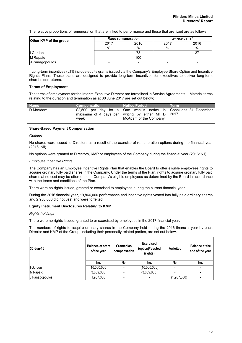The relative proportions of remuneration that are linked to performance and those that are fixed are as follows:

| Other KMP of the group |                          | <b>Fixed remuneration</b> | At risk - LTI |      |
|------------------------|--------------------------|---------------------------|---------------|------|
|                        | 2017                     | 2016                      | 2017          | 2016 |
|                        | %                        | $\%$                      | %             | %    |
| I Gordon               |                          | 72                        |               |      |
| M Rapaic               | $\overline{\phantom{0}}$ | 100                       |               | -    |
| J Panagopoulos         |                          | $\overline{\phantom{0}}$  |               |      |

1 Long-term incentives (LTI) include equity grants issued via the Company's Employee Share Option and Incentive Rights Plans. These plans are designed to provide long-term incentives for executives to deliver long-term shareholder returns.

# **Terms of Employment**

The terms of employment for the Interim Executive Director are formalised in Service Agreements. Material terms relating to the duration and termination as at 30 June 2017 are set out below;

| <b>Name</b> | <b>Compensation</b> \ | <b>Notice Period</b>                                                                                                                                   | <b>Term</b> |
|-------------|-----------------------|--------------------------------------------------------------------------------------------------------------------------------------------------------|-------------|
| D McAdam    | week                  | \$2,500 per day for a   One week's notice in   Concludes 31 December<br>maximum of 4 days per writing by either Mr $D$   2017<br>McAdam or the Company |             |

#### **Share-Based Payment Compensation**

*Options* 

No shares were issued to Directors as a result of the exercise of remuneration options during the financial year (2016: Nil).

No options were granted to Directors, KMP or employees of the Company during the financial year (2016: Nil).

#### *Employee Incentive Rights*

The Company has an Employee Incentive Rights Plan that enables the Board to offer eligible employees rights to acquire ordinary fully paid shares in the Company. Under the terms of the Plan, rights to acquire ordinary fully paid shares at no cost may be offered to the Company's eligible employees as determined by the Board in accordance with the terms and conditions of the Plan.

There were no rights issued, granted or exercised to employees during the current financial year.

During the 2016 financial year, 19,866,000 performance and incentive rights vested into fully paid ordinary shares and 2,930,000 did not vest and were forfeited.

#### **Equity Instrument Disclosures Relating to KMP**

#### *Rights holdings*

There were no rights issued, granted to or exercised by employees in the 2017 financial year.

The numbers of rights to acquire ordinary shares in the Company held during the 2016 financial year by each Director and KMP of the Group, including their personally related parties, are set out below.

| 30-Jun-16      | <b>Balance at start</b><br>of the year | <b>Granted as</b><br>compensation | <b>Exercised</b><br>(option)/Vested<br>(rights) | <b>Forfeited</b> | <b>Balance at the</b><br>end of the year |
|----------------|----------------------------------------|-----------------------------------|-------------------------------------------------|------------------|------------------------------------------|
|                | No.                                    | No.                               | No.                                             | No.              | No.                                      |
| I Gordon       | 10,000,000                             | $\qquad \qquad \blacksquare$      | (10,000,000)                                    | -                | $\overline{\phantom{0}}$                 |
| <b>MRapaic</b> | 3,609,000                              | $\overline{\phantom{0}}$          | (3,609,000)                                     | -                | $\overline{\phantom{0}}$                 |
| J Panagopoulos | 1,967,000                              | $\overline{\phantom{0}}$          |                                                 | (1,967,000)      |                                          |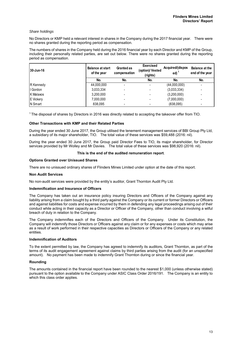#### *Share holdings*

No Directors or KMP held a relevant interest in shares in the Company during the 2017 financial year. There were no shares granted during the reporting period as compensation.

The numbers of shares in the Company held during the 2016 financial year by each Director and KMP of the Group, including their personally related parties, are set out below. There were no shares granted during the reporting period as compensation.

| 30-Jun-16        | <b>Balance at start</b><br>of the year | <b>Granted as</b><br>compensation | <b>Exercised</b><br>(option)/ Vested<br>(rights) | Acquired/(dispos<br>ed) | <b>Balance at the</b><br>end of the year |
|------------------|----------------------------------------|-----------------------------------|--------------------------------------------------|-------------------------|------------------------------------------|
|                  | No.                                    | No.                               | No.                                              | No.                     | No.                                      |
| R Kennedy        | 44,000,000                             | $\blacksquare$                    |                                                  | (44,000,000)            | -                                        |
| I Gordon         | 3,033,334                              | $\overline{\phantom{0}}$          |                                                  | (3,033,334)             | -                                        |
| K Malaxos        | 3,200,000                              | ٠                                 |                                                  | (3,200,000)             | $\overline{\phantom{0}}$                 |
| <b>E</b> Vickery | 7,000,000                              | $\overline{\phantom{0}}$          |                                                  | (7,000,000)             | $\overline{\phantom{0}}$                 |
| N Smart          | 838.095                                | $\qquad \qquad \blacksquare$      |                                                  | (838,095)               | ٠                                        |

1 The disposal of shares by Directors in 2016 was directly related to accepting the takeover offer from TIO.

# **Other Transactions with KMP and their Related Parties**

During the year ended 30 June 2017, the Group utilised the tenement management services of BBI Group Pty Ltd, a subsidiary of its major shareholder, TIO. The total value of these services was \$59,488 (2016: nil).

During the year ended 30 June 2017, the Group paid Director Fees to TIO, its major shareholder, for Director services provided by Mr Wolley and Mr Davies. The total value of these services was \$98,920 (2016: nil).

# **This is the end of the audited remuneration report**.

#### **Options Granted over Unissued Shares**

There are no unissued ordinary shares of Flinders Mines Limited under option at the date of this report.

#### **Non Audit Services**

No non-audit services were provided by the entity's auditor, Grant Thornton Audit Pty Ltd.

#### **Indemnification and Insurance of Officers**

The Company has taken out an insurance policy insuring Directors and Officers of the Company against any liability arising from a claim bought by a third party against the Company or its current or former Directors or Officers and against liabilities for costs and expense incurred by them in defending any legal proceedings arising out of their conduct while acting in their capacity as a Director or Officer of the Company, other than conduct involving a wilful breach of duty in relation to the Company.

The Company indemnifies each of the Directors and Officers of the Company. Under its Constitution, the Company will indemnify those Directors or Officers against any claim or for any expenses or costs which may arise as a result of work performed in their respective capacities as Directors or Officers of the Company or any related entities.

# **Indemnification of Auditors**

To the extent permitted by law, the Company has agreed to indemnify its auditors, Grant Thornton, as part of the terms of its audit engagement agreement against claims by third parties arising from the audit (for an unspecified amount). No payment has been made to indemnify Grant Thornton during or since the financial year.

#### **Rounding**

The amounts contained in the financial report have been rounded to the nearest \$1,000 (unless otherwise stated) pursuant to the option available to the Company under ASIC Class Order 2016/191. The Company is an entity to which this class order applies.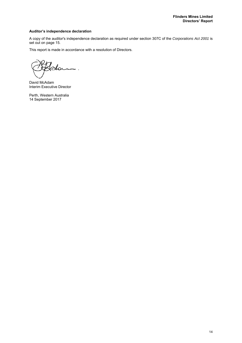# **Auditor's independence declaration**

A copy of the auditor's independence declaration as required under section 307C of the *Corporations Act 2001* is set out on page 15.

This report is made in accordance with a resolution of Directors.

David McAdam Interim Executive Director

Perth, Western Australia 14 September 2017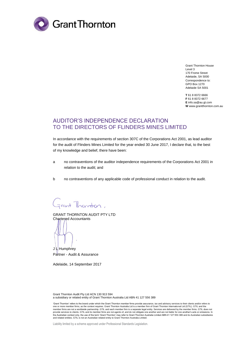

Grant Thornton House Level 3 170 Frome Street Adelaide, SA 5000 Correspondence to: GPO Box 1270 Adelaide SA 5001

**T** 61 8 8372 6666 **F** 61 8 8372 6677 **E** info.sa@au.gt.com **W** www.grantthornton.com.au

# AUDITOR'S INDEPENDENCE DECLARATION TO THE DIRECTORS OF FLINDERS MINES LIMITED

In accordance with the requirements of section 307C of the Corporations Act 2001, as lead auditor for the audit of Flinders Mines Limited for the year ended 30 June 2017, I declare that, to the best of my knowledge and belief, there have been:

- a no contraventions of the auditor independence requirements of the Corporations Act 2001 in relation to the audit; and
- b no contraventions of any applicable code of professional conduct in relation to the audit.

Frant Thornton.

GRANT THORNTON AUDIT PTY LTD Chartered Accountants

J L Humphrey Partner - Audit & Assurance

Adelaide, 14 September 2017

Grant Thornton Audit Pty Ltd ACN 130 913 594 a subsidiary or related entity of Grant Thornton Australia Ltd ABN 41 127 556 389

<sup>&#</sup>x27;Grant Thomton' refers to the brand under which the Grant Thornton member firms provide assurance, tax and advisory services to their clients and/or refers to<br>one or more member firms, as the context requires. Grant Thornt member firms are not a worldwide partnership. GTIL and each member firm is a separate legal entity. Services are delivered by the member firms. GTIL does not<br>provide services to clients. GTIL and its member firms are not a and related entities. GTIL is not an Australian related entity to Grant Thornton Australia Limited.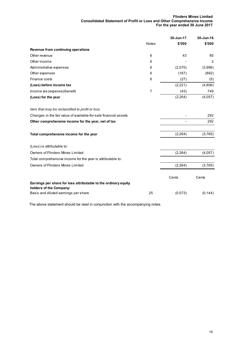# **Flinders Mines Limited Consolidated Statement of Profit or Loss and Other Comprehensive Income For the year ended 30 June 2017**

|                                                                                            |              | 30-Jun-17 | 30-Jun-16      |
|--------------------------------------------------------------------------------------------|--------------|-----------|----------------|
|                                                                                            | <b>Notes</b> | \$'000    | \$'000         |
| Revenue from continuing operations                                                         |              |           |                |
| Other revenue                                                                              | 6            | 43        | 85             |
| Other income                                                                               | 6            |           | $\overline{2}$ |
| Administrative expenses                                                                    | 6            | (2,070)   | (3,996)        |
| Other expenses                                                                             | 6            | (167)     | (892)          |
| Finance costs                                                                              | 6            | (27)      | (5)            |
| (Loss) before income tax                                                                   |              | (2,221)   | (4,806)        |
| Income tax (expense)/benefit                                                               | 7            | (43)      | 749            |
| (Loss) for the year                                                                        |              | (2, 264)  | (4,057)        |
| Item that may be reclassified to profit or loss                                            |              |           |                |
| Changes in the fair value of available-for-sale financial assets                           |              |           | 292            |
| Other comprehensive income for the year, net of tax                                        |              |           | 292            |
| Total comprehensive income for the year                                                    |              | (2, 264)  | (3,765)        |
| (Loss) is attributable to:                                                                 |              |           |                |
| <b>Owners of Flinders Mines Limited</b>                                                    |              | (2,264)   | (4,057)        |
| Total comprehensive income for the year is attributable to:                                |              |           |                |
| <b>Owners of Flinders Mines Limited</b>                                                    |              | (2, 264)  | (3,765)        |
|                                                                                            |              | Cents     | Cents          |
| Earnings per share for loss attributable to the ordinary equity<br>holders of the Company: |              |           |                |
| Basic and diluted earnings per share                                                       | 25           | (0.073)   | (0.144)        |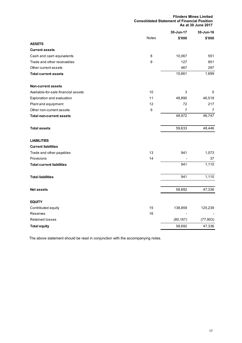**Flinders Mines Limited Consolidated Statement of Financial Position As at 30 June 2017**

|                                     |              | 30-Jun-17      | 30-Jun-16      |
|-------------------------------------|--------------|----------------|----------------|
|                                     | <b>Notes</b> | \$'000         | \$'000         |
| <b>ASSETS</b>                       |              |                |                |
| <b>Current assets</b>               |              |                |                |
| Cash and cash equivalents           | 8            | 10,067         | 551            |
| Trade and other receivables         | 9            | 127            | 851            |
| Other current assets                |              | 467            | 297            |
| <b>Total current assets</b>         |              | 10,661         | 1,699          |
| <b>Non-current assets</b>           |              |                |                |
| Available-for-sale financial assets | 10           | 3              | 5              |
| Exploration and evaluation          | 11           | 48,890         | 46,518         |
| Plant and equipment                 | 12           | 72             | 217            |
| Other non-current assets            | 9            | $\overline{7}$ | $\overline{7}$ |
| <b>Total non-current assets</b>     |              | 48,972         | 46,747         |
| <b>Total assets</b>                 |              | 59,633         | 48,446         |
| <b>LIABILITIES</b>                  |              |                |                |
| <b>Current liabilities</b>          |              |                |                |
| Trade and other payables            | 13           | 941            | 1,073          |
| Provisions                          | 14           |                | 37             |
| <b>Total current liabilities</b>    |              | 941            | 1,110          |
| <b>Total liabilities</b>            |              | 941            | 1,110          |
| <b>Net assets</b>                   |              | 58,692         | 47,336         |
| <b>EQUITY</b>                       |              |                |                |
| Contributed equity                  | 15           | 138,859        | 125,239        |
| <b>Reserves</b>                     | 16           |                |                |
| <b>Retained losses</b>              |              | (80, 167)      | (77, 903)      |
| <b>Total equity</b>                 |              | 58,692         | 47,336         |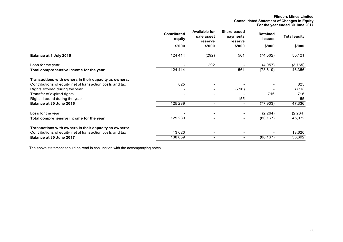**Flinders Mines Limited Consolidated Statement of Changes in Equity For the year ended 30 June 2017**

|                                                           | <b>Contributed</b><br>equity | <b>Available for</b><br>sale asset<br>reserve | <b>Share based</b><br>payments<br>reserve | <b>Retained</b><br><b>losses</b> | <b>Total equity</b> |
|-----------------------------------------------------------|------------------------------|-----------------------------------------------|-------------------------------------------|----------------------------------|---------------------|
|                                                           | \$'000                       | \$'000                                        | \$'000                                    | \$'000                           | \$'000              |
| Balance at 1 July 2015                                    | 124,414                      | (292)                                         | 561                                       | (74, 562)                        | 50,121              |
| Loss for the year                                         |                              | 292                                           |                                           | (4,057)                          | (3,765)             |
| Total comprehensive income for the year                   | 124,414                      |                                               | 561                                       | (78, 619)                        | 46,356              |
| Transactions with owners in their capacity as owners:     |                              |                                               |                                           |                                  |                     |
| Contributions of equity, net of transaction costs and tax | 825                          |                                               |                                           |                                  | 825                 |
| Rights expired during the year                            |                              |                                               | (716)                                     |                                  | (716)               |
| Transfer of expired rights                                |                              |                                               |                                           | 716                              | 716                 |
| Rights issued during the year                             |                              |                                               | 155                                       |                                  | 155                 |
| Balance at 30 June 2016                                   | 125,239                      |                                               | $\blacksquare$                            | (77, 903)                        | 47,336              |
| Loss for the year                                         |                              |                                               |                                           | (2, 264)                         | (2, 264)            |
| Total comprehensive income for the year                   | 125,239                      |                                               | Ξ.                                        | (80, 167)                        | 45,072              |
| Transactions with owners in their capacity as owners:     |                              |                                               |                                           |                                  |                     |
| Contributions of equity, net of transaction costs and tax | 13,620                       |                                               |                                           |                                  | 13,620              |
| Balance at 30 June 2017                                   | 138,859                      |                                               | $\overline{\phantom{0}}$                  | (80, 167)                        | 58,692              |
|                                                           |                              |                                               |                                           |                                  |                     |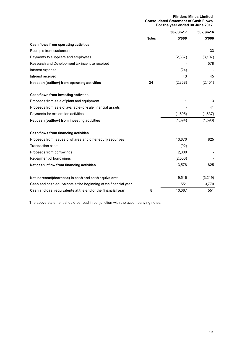| <b>Flinders Mines Limited</b>               |  |
|---------------------------------------------|--|
| <b>Consolidated Statement of Cash Flows</b> |  |
| For the year ended 30 June 2017             |  |

|                                                                  |              | 30-Jun-17 | 30-Jun-16 |
|------------------------------------------------------------------|--------------|-----------|-----------|
|                                                                  | <b>Notes</b> | \$'000    | \$'000    |
| Cash flows from operating activities                             |              |           |           |
| Receipts from customers                                          |              |           | 33        |
| Payments to suppliers and employees                              |              | (2, 387)  | (3, 107)  |
| Research and Development tax incentive received                  |              |           | 578       |
| Interest expense                                                 |              | (24)      |           |
| Interest received                                                |              | 43        | 45        |
| Net cash (outflow) from operating activities                     | 24           | (2,368)   | (2, 451)  |
| Cash flows from investing activities                             |              |           |           |
| Proceeds from sale of plant and equipment                        |              | 1         | 3         |
| Proceeds from sale of available-for-sale financial assets        |              |           | 41        |
| Payments for exploration activities                              |              | (1,695)   | (1,637)   |
| Net cash (outflow) from investing activities                     |              | (1,694)   | (1, 593)  |
| Cash flows from financing activities                             |              |           |           |
| Proceeds from issues of shares and other equity securities       |              | 13,670    | 825       |
| <b>Transaction costs</b>                                         |              | (92)      |           |
| Proceeds from borrowings                                         |              | 2,000     |           |
| Repayment of borrowings                                          |              | (2,000)   |           |
| Net cash inflow from financing activities                        |              | 13,578    | 825       |
| Net increase/(decrease) in cash and cash equivalents             |              | 9,516     | (3,219)   |
| Cash and cash equivalents at the beginning of the financial year |              | 551       | 3,770     |
| Cash and cash equivalents at the end of the financial year       | 8            | 10,067    | 551       |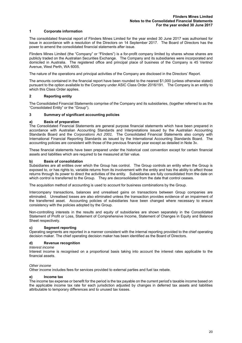# **1 Corporate information**

The consolidated financial report of Flinders Mines Limited for the year ended 30 June 2017 was authorised for issue in accordance with a resolution of the Directors on 14 September 2017. The Board of Directors has the power to amend the consolidated financial statements after issue.

Flinders Mines Limited (the "Company" or "Flinders") is a for-profit company limited by shares whose shares are publicly traded on the Australian Securities Exchange. The Company and its subsidiaries were incorporated and domiciled in Australia. The registered office and principal place of business of the Company is 45 Ventnor Avenue, West Perth, WA 6005.

The nature of the operations and principal activities of the Company are disclosed in the Directors' Report.

The amounts contained in the financial report have been rounded to the nearest \$1,000 (unless otherwise stated) pursuant to the option available to the Company under ASIC Class Order 2016/191. The Company is an entity to which this Class Order applies.

# **2 Reporting entity**

The Consolidated Financial Statements comprise of the Company and its subsidiaries, (together referred to as the "Consolidated Entity" or the "Group").

# **3 Summary of significant accounting policies**

# **a) Basis of preparation**

The Consolidated Financial Statements are general purpose financial statements which have been prepared in accordance with Australian Accounting Standards and Interpretations issued by the Australian Accounting Standards Board and the *Corporations Act 2001*. The Consolidated Financial Statements also comply with International Financial Reporting Standards as issued by the International Accounting Standards Board. The accounting policies are consistent with those of the previous financial year except as detailed in Note 3v.

These financial statements have been prepared under the historical cost convention except for certain financial assets and liabilities which are required to be measured at fair value.

#### **b) Basis of consolidation**

Subsidiaries are all entities over which the Group has control. The Group controls an entity when the Group is exposed to, or has rights to, variable returns from its involvement with the entity and has the ability to affect those returns through its power to direct the activities of the entity. Subsidiaries are fully consolidated from the date on which control is transferred to the Group. They are deconsolidated from the date that control ceases.

The acquisition method of accounting is used to account for business combinations by the Group.

Intercompany transactions, balances and unrealised gains on transactions between Group companies are eliminated. Unrealised losses are also eliminated unless the transaction provides evidence of an impairment of the transferred asset. Accounting policies of subsidiaries have been changed where necessary to ensure consistency with the policies adopted by the Group.

Non-controlling interests in the results and equity of subsidiaries are shown separately in the Consolidated Statement of Profit or Loss, Statement of Comprehensive Income, Statement of Changes in Equity and Balance Sheet respectively.

#### **c) Segment reporting**

Operating segments are reported in a manner consistent with the internal reporting provided to the chief operating decision maker. The chief operating decision maker has been identified as the Board of Directors.

#### **d) Revenue recognition**

#### *Interest income*

Interest income is recognised on a proportional basis taking into account the interest rates applicable to the financial assets.

#### *Other income*

Other income includes fees for services provided to external parties and fuel tax rebate.

#### **e) Income tax**

The income tax expense or benefit for the period is the tax payable on the current period's taxable income based on the applicable income tax rate for each jurisdiction adjusted by changes in deferred tax assets and liabilities attributable to temporary differences and to unused tax losses.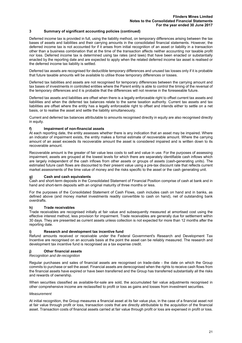Deferred income tax is provided in full, using the liability method, on temporary differences arising between the tax bases of assets and liabilities and their carrying amounts in the consolidated financial statements. However, the deferred income tax is not accounted for if it arises from initial recognition of an asset or liability in a transaction other than a business combination that at the time of the transaction affects neither accounting nor taxable profit nor loss. Deferred income tax is determined using tax rates (and laws) that have been enacted or substantially enacted by the reporting date and are expected to apply when the related deferred income tax asset is realised or the deferred income tax liability is settled.

Deferred tax assets are recognised for deductible temporary differences and unused tax losses only if it is probable that future taxable amounts will be available to utilise those temporary differences or losses.

Deferred tax liabilities and assets are not recognised for temporary differences between the carrying amount and tax bases of investments in controlled entities where the Parent entity is able to control the timing of the reversal of the temporary differences and it is probable that the differences will not reverse in the foreseeable future.

Deferred tax assets and liabilities are offset when there is a legally enforceable right to offset current tax assets and liabilities and when the deferred tax balances relate to the same taxation authority. Current tax assets and tax liabilities are offset where the entity has a legally enforceable right to offset and intends either to settle on a net basis, or to realise the asset and settle the liability simultaneously.

Current and deferred tax balances attributable to amounts recognised directly in equity are also recognised directly in equity.

#### **f) Impairment of non-financial assets**

At each reporting date, the entity assesses whether there is any indication that an asset may be impaired. Where an indicator of impairment exists, the entity makes a formal estimate of recoverable amount. Where the carrying amount of an asset exceeds its recoverable amount the asset is considered impaired and is written down to its recoverable amount.

Recoverable amount is the greater of fair value less costs to sell and value in use. For the purposes of assessing impairment, assets are grouped at the lowest levels for which there are separately identifiable cash inflows which are largely independent of the cash inflows from other assets or groups of assets (cash-generating units). The estimated future cash flows are discounted to their present value using a pre-tax discount rate that reflects current market assessments of the time value of money and the risks specific to the asset or the cash generating unit.

#### **g) Cash and cash equivalents**

Cash and short-term deposits in the Consolidated Statement of Financial Position comprise of cash at bank and in hand and short-term deposits with an original maturity of three months or less.

For the purposes of the Consolidated Statement of Cash Flows, cash includes cash on hand and in banks, as defined above (and money market investments readily convertible to cash on hand), net of outstanding bank overdrafts.

# **h) Trade receivables**

Trade receivables are recognised initially at fair value and subsequently measured at amortised cost using the effective interest method, less provision for impairment. Trade receivables are generally due for settlement within 30 days. They are presented as current assets unless collection is not expected for more than 12 months after the reporting date.

#### **i) Research and development tax incentive fund**

Refund amounts received or receivable under the Federal Government's Research and Development Tax Incentive are recognised on an accruals basis at the point the asset can be reliably measured. The research and development tax incentive fund is recognised as a tax expense credit.

# **j) Other financial assets**

# *Recognition and de-recognition*

Regular purchases and sales of financial assets are recognised on trade-date - the date on which the Group commits to purchase or sell the asset. Financial assets are derecognised when the rights to receive cash flows from the financial assets have expired or have been transferred and the Group has transferred substantially all the risks and rewards of ownership.

When securities classified as available-for-sale are sold, the accumulated fair value adjustments recognised in other comprehensive income are reclassified to profit or loss as gains and losses from investment securities.

### *Measurement*

At initial recognition, the Group measures a financial asset at its fair value plus, in the case of a financial asset not at fair value through profit or loss, transaction costs that are directly attributable to the acquisition of the financial asset. Transaction costs of financial assets carried at fair value through profit or loss are expensed in profit or loss.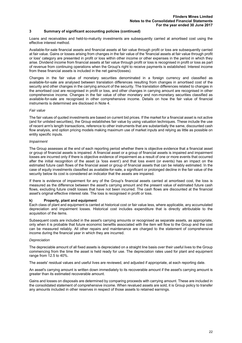Loans and receivables and held-to-maturity investments are subsequently carried at amortised cost using the effective interest method.

Available-for-sale financial assets and financial assets at fair value through profit or loss are subsequently carried at fair value. Gains or losses arising from changes in the fair value of the 'financial assets at fair value through profit or loss' category are presented in profit or loss within other income or other expenses in the period in which they arise. Dividend income from financial assets at fair value through profit or loss is recognised in profit or loss as part of revenue from continuing operations when the Group's right to receive payments is established. Interest income from these financial assets is included in the net gains/(losses).

Changes in the fair value of monetary securities denominated in a foreign currency and classified as available-for-sale are analysed between translation differences resulting from changes in amortised cost of the security and other changes in the carrying amount of the security. The translation differences related to changes in the amortised cost are recognised in profit or loss, and other changes in carrying amount are recognised in other comprehensive income. Changes in the fair value of other monetary and non-monetary securities classified as available-for-sale are recognised in other comprehensive income. Details on how the fair value of financial instruments is determined are disclosed in Note 4.

#### *Fair value*

The fair values of quoted investments are based on current bid prices. If the market for a financial asset is not active (and for unlisted securities), the Group establishes fair value by using valuation techniques. These include the use of recent arm's length transactions, reference to other instruments that are substantially the same, discounted cash flow analysis, and option pricing models making maximum use of market inputs and relying as little as possible on entity specific inputs.

#### *Impairment*

The Group assesses at the end of each reporting period whether there is objective evidence that a financial asset or group of financial assets is impaired. A financial asset or a group of financial assets is impaired and impairment losses are incurred only if there is objective evidence of impairment as a result of one or more events that occurred after the initial recognition of the asset (a 'loss event') and that loss event (or events) has an impact on the estimated future cash flows of the financial asset or group of financial assets that can be reliably estimated. In the case of equity investments classified as available-for-sale, a significant or prolonged decline in the fair value of the security below its cost is considered an indicator that the assets are impaired.

If there is evidence of impairment for any of the Group's financial assets carried at amortised cost, the loss is measured as the difference between the asset's carrying amount and the present value of estimated future cash flows, excluding future credit losses that have not been incurred. The cash flows are discounted at the financial asset's original effective interest rate. The loss is recognised in profit or loss.

#### **k) Property, plant and equipment**

Each class of plant and equipment is carried at historical cost or fair value less, where applicable, any accumulated depreciation and impairment losses. Historical cost includes expenditure that is directly attributable to the acquisition of the items.

Subsequent costs are included in the asset's carrying amounts or recognised as separate assets, as appropriate, only when it is probable that future economic benefits associated with the item will flow to the Group and the cost can be measured reliably. All other repairs and maintenance are charged to the statement of comprehensive income during the financial year in which they are incurred.

#### *Depreciation*

The depreciable amount of all fixed assets is depreciated on a straight line basis over their useful lives to the Group commencing from the time the asset is held ready for use. The depreciation rates used for plant and equipment range from 12.5 to 40%.

The assets' residual values and useful lives are reviewed, and adjusted if appropriate, at each reporting date.

An asset's carrying amount is written down immediately to its recoverable amount if the asset's carrying amount is greater than its estimated recoverable amount.

Gains and losses on disposals are determined by comparing proceeds with carrying amount. These are included in the consolidated statement of comprehensive income. When revalued assets are sold, it is Group policy to transfer any amounts included in other reserves in respect of those assets to retained earnings.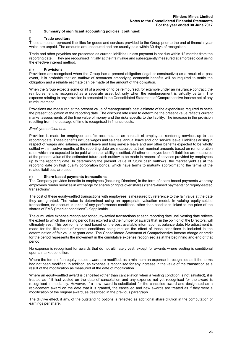# **l) Trade creditors**

These amounts represent liabilities for goods and services provided to the Group prior to the end of financial year which are unpaid. The amounts are unsecured and are usually paid within 30 days of recognition.

Trade and other payables are presented as current liabilities unless payment is not due within 12 months from the reporting date. They are recognised initially at their fair value and subsequently measured at amortised cost using the effective interest method.

# **m) Provisions**

Provisions are recognised when the Group has a present obligation (legal or constructive) as a result of a past event, it is probable that an outflow of resources embodying economic benefits will be required to settle the obligation and a reliable estimate can be made of the amount of the obligation.

When the Group expects some or all of a provision to be reimbursed, for example under an insurance contract, the reimbursement is recognised as a separate asset but only when the reimbursement is virtually certain. The expense relating to any provision is presented in the Consolidated Statement of Comprehensive Income net of any reimbursement.

Provisions are measured at the present value of management's best estimate of the expenditure required to settle the present obligation at the reporting date. The discount rate used to determine the present value reflects current market assessments of the time value of money and the risks specific to the liability. The increase in the provision resulting from the passage of time is recognised in finance costs.

#### *Employee entitlements*

Provision is made for employee benefits accumulated as a result of employees rendering services up to the reporting date. These benefits include wages and salaries, annual leave and long service leave. Liabilities arising in respect of wages and salaries, annual leave and long service leave and any other benefits expected to be wholly settled within twelve months of the reporting date are measured at their nominal amounts based on remuneration rates which are expected to be paid when the liability is settled. All other employee benefit liabilities are measured at the present value of the estimated future cash outflow to be made in respect of services provided by employees up to the reporting date. In determining the present value of future cash outflows, the market yield as at the reporting date on high quality corporation bonds, which have terms to maturity approximating the terms of the related liabilities, are used.

# **n) Share-based payments transactions**

The Company provides benefits to employees (including Directors) in the form of share-based payments whereby employees render services in exchange for shares or rights over shares ("share-based payments" or "equity-settled transactions").

The cost of these equity-settled transactions with employees is measured by reference to the fair value at the date they are granted. The value is determined using an appropriate valuation model. In valuing equity-settled transactions, no account is taken of any performance conditions, other than conditions linked to the price of the shares of FMS ("market conditions") if applicable.

The cumulative expense recognised for equity-settled transactions at each reporting date until vesting date reflects the extent to which the vesting period has expired and the number of awards that, in the opinion of the Directors, will ultimately vest. This opinion is formed based on the best available information at balance date. No adjustment is made for the likelihood of market conditions being met as the effect of these conditions is included in the determination of fair value at grant date. The Consolidated Statement of Comprehensive Income charge or credit for the period represents the movement in the cumulative expense recognised as at the beginning and end of that period.

No expense is recognised for awards that do not ultimately vest, except for awards where vesting is conditional upon a market condition.

Where the terms of an equity-settled award are modified, as a minimum an expense is recognised as if the terms had not been modified. In addition, an expense is recognised for any increase in the value of the transaction as a result of the modification as measured at the date of modification.

Where an equity-settled award is cancelled (other than cancellation when a vesting condition is not satisfied), it is treated as if it had vested on the date of cancellation and any expense not yet recognised for the award is recognised immediately. However, if a new award is substituted for the cancelled award and designated as a replacement award on the date that it is granted, the cancelled and new awards are treated as if they were a modification of the original award, as described in the previous paragraph.

The dilutive effect, if any, of the outstanding options is reflected as additional share dilution in the computation of earnings per share.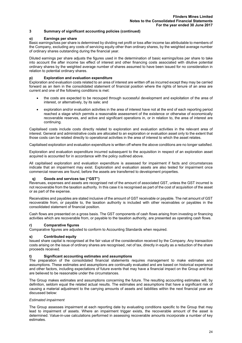# **o) Earnings per share**

Basic earnings/loss per share is determined by dividing net profit or loss after income tax attributable to members of the Company, excluding any costs of servicing equity other than ordinary shares, by the weighted average number of ordinary shares outstanding during the financial year.

Diluted earnings per share adjusts the figures used in the determination of basic earnings/loss per share to take into account the after income tax effect of interest and other financing costs associated with dilutive potential ordinary shares by the weighted average number of shares assumed to have been issued for no consideration in relation to potential ordinary shares.

# **p) Exploration and evaluation expenditure**

Exploration and evaluation costs related to an area of interest are written off as incurred except they may be carried forward as an item in the consolidated statement of financial position where the rights of tenure of an area are current and one of the following conditions is met:

- the costs are expected to be recouped through successful development and exploitation of the area of interest, or alternatively, by its sale; and
- exploration and/or evaluation activities in the area of interest have not at the end of each reporting period reached a stage which permits a reasonable assessment of the existence or otherwise of economically recoverable reserves, and active and significant operations in, or in relation to, the area of interest are continuing.

Capitalised costs include costs directly related to exploration and evaluation activities in the relevant area of interest. General and administrative costs are allocated to an exploration or evaluation asset only to the extent that those costs can be related directly to operational activities in the area of interest to which the asset relates.

Capitalised exploration and evaluation expenditure is written off where the above conditions are no longer satisfied.

Exploration and evaluation expenditure incurred subsequent to the acquisition in respect of an exploration asset acquired is accounted for in accordance with the policy outlined above.

All capitalised exploration and evaluation expenditure is assessed for impairment if facts and circumstances indicate that an impairment may exist. Exploration and evaluation assets are also tested for impairment once commercial reserves are found, before the assets are transferred to development properties.

#### **q) Goods and services tax ("GST")**

Revenues, expenses and assets are recognised net of the amount of associated GST, unless the GST incurred is not recoverable from the taxation authority. In this case it is recognised as part of the cost of acquisition of the asset or as part of the expense.

Receivables and payables are stated inclusive of the amount of GST receivable or payable. The net amount of GST recoverable from, or payable to, the taxation authority is included with other receivables or payables in the consolidated statement of financial position.

Cash flows are presented on a gross basis. The GST components of cash flows arising from investing or financing activities which are recoverable from, or payable to the taxation authority, are presented as operating cash flows.

# **r) Comparative figures**

Comparative figures are adjusted to conform to Accounting Standards when required.

# **s) Contributed equity**

Issued share capital is recognised at the fair value of the consideration received by the Company. Any transaction costs arising on the issue of ordinary shares are recognised, net of tax, directly in equity as a reduction of the share proceeds received.

# **t) Significant accounting estimates and assumptions**

The preparation of the consolidated financial statements requires management to make estimates and assumptions. These estimates and assumptions are continually evaluated and are based on historical experience and other factors, including expectations of future events that may have a financial impact on the Group and that are believed to be reasonable under the circumstances.

The Group makes estimates and assumptions concerning the future. The resulting accounting estimates will, by definition, seldom equal the related actual results. The estimates and assumptions that have a significant risk of causing a material adjustment to the carrying amounts of assets and liabilities within the next financial year are discussed below:

#### *Estimated impairment*

The Group assesses impairment at each reporting date by evaluating conditions specific to the Group that may lead to impairment of assets. Where an impairment trigger exists, the recoverable amount of the asset is determined. Value-in-use calculations performed in assessing recoverable amounts incorporate a number of key estimates.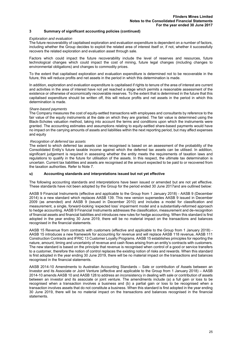#### *Exploration and evaluation*

The future recoverability of capitalised exploration and evaluation expenditure is dependent on a number of factors, including whether the Group decides to exploit the related area of interest itself or, if not, whether it successfully recovers the related exploration and evaluation asset through sale.

Factors which could impact the future recoverability include the level of reserves and resources, future technological changes which could impact the cost of mining, future legal changes (including changes to environmental obligations) and changes to commodity prices.

To the extent that capitalised exploration and evaluation expenditure is determined not to be recoverable in the future, this will reduce profits and net assets in the period in which this determination is made.

In addition, exploration and evaluation expenditure is capitalised if rights to tenure of the area of interest are current and activities in the area of interest have not yet reached a stage which permits a reasonable assessment of the existence or otherwise of economically recoverable reserves. To the extent that is determined in the future that this capitalised expenditure should be written off, this will reduce profits and net assets in the period in which this determination is made.

#### *Share-based payments*

The Company measures the cost of equity-settled transactions with employees and consultants by reference to the fair value of the equity instruments at the date on which they are granted. The fair value is determined using the Black-Scholes valuation method, taking into account the terms and conditions upon which the instruments were granted. The accounting estimates and assumptions relating to equity-settled share-based payments would have no impact on the carrying amounts of assets and liabilities within the next reporting period, but may affect expenses and equity

#### *Recognition of deferred tax assets*

The extent to which deferred tax assets can be recognised is based on an assessment of the probability of the Consolidated Entity's future taxable income against which the deferred tax assets can be utilised. In addition, significant judgement is required in assessing whether the entity meets the requirements of taxation laws and regulations to qualify in the future for utilisation of the assets. In this respect, the ultimate tax determination is uncertain. Current tax liabilities and assets are recognised at the amount expected to be paid to or recovered from the taxation authorities. Refer to Note 7.

#### **u) Accounting standards and interpretations issued but not yet effective**

The following accounting standards and interpretations have been issued or amended but are not yet effective. These standards have not been adopted by the Group for the period ended 30 June 2017and are outlined below:

AASB 9 Financial Instruments (effective and applicable to the Group from 1 January 2018) - AASB 9 (December 2014) is a new standard which replaces AASB 139. This new version supersedes AASB 9 issued in December 2009 (as amended) and AASB 9 (issued in December 2010) and includes a model for classification and measurement, a single, forward-looking 'expected loss' impairment model and a substantially-reformed approach to hedge accounting. AASB 9 Financial Instruments addresses the classification, measurement and de-recognition of financial assets and financial liabilities and introduces new rules for hedge accounting. When this standard is first adopted in the year ending 30 June 2019, there will be no material impact on the transactions and balances recognised in the financial statements.

AASB 15 Revenue from contracts with customers (effective and applicable to the Group from 1 January 2018) - AASB 15 introduces a new framework for accounting for revenue and will replace AASB 118 revenue, AASB 111 Construction Contracts and IFRIC 13 Customer Loyalty Programs. AASB 15 establishes principles for reporting the nature, amount, timing and uncertainty of revenue and cash flows arising from an entity's contracts with customers. The new standard is based on the principle that revenue is recognised when control of a good or service transfers to a customer, therefore the notion of control replaces the existing notion of risks and rewards. When this standard is first adopted in the year ending 30 June 2019, there will be no material impact on the transactions and balances recognised in the financial statements.

AASB 2014-10 Amendments to Australian Accounting Standards – Sale or contribution of Assets between an Investor and its Associate or Joint Venture (effective and applicable to the Group from 1 January 2018) – AASB 2014-10 amends AASB 10 and AASB 128 to address an inconsistency in dealing with sale or contribution of assets between an investor and its associate or joint venture. The amendments include (a) a full gain or loss to be recognised when a transaction involves a business and (b) a partial gain or loss to be recognised when a transaction involves assets that do not constitute a business. When this standard is first adopted in the year ending 30 June 2019, there will be no material impact on the transactions and balances recognised in the financial statements.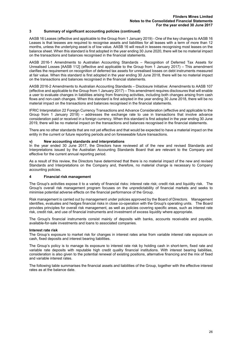AASB 16 Leases (effective and applicable to the Group from 1 January 2019) - One of the key changes to AASB 16 Leases is that lessees are required to recognise assets and liabilities for all leases with a term of more than 12 months, unless the underlying asset is of low value. AASB 16 will result in lessees recognising most leases on the balance sheet. When this standard is first adopted in the year ending 30 June 2020, there will be no material impact on the transactions and balances recognised in the financial statements.

AASB 2016-1 Amendments to Australian Accounting Standards – Recognition of Deferred Tax Assets for Unrealised Losses [AASB 112] (effective and applicable to the Group from 1 January 2017) – This amendment clarifies the requirement on recognition of deferred tax assets for unrealised losses on debt instruments measured at fair value. When this standard is first adopted in the year ending 30 June 2018, there will be no material impact on the transactions and balances recognised in the financial statements.

AASB 2016-2 Amendments to Australian Accounting Standards – Disclosure Initiative: Amendments to AASB 107 (effective and applicable to the Group from 1 January 2017) – This amendment requires disclosures that will enable a user to evaluate changes in liabilities arising from financing activities, including both changes arising from cash flows and non-cash changes. When this standard is first adopted in the year ending 30 June 2018, there will be no material impact on the transactions and balances recognised in the financial statements.

IFRIC Interpretation 22 Foreign Currency Transactions and Advance Consideration (effective and applicable to the Group from 1 January 2018) – addresses the exchange rate to use in transactions that involve advance consideration paid or received in a foreign currency. When this standard is first adopted in the year ending 30 June 2019, there will be no material impact on the transactions and balances recognised in the financial statements.

There are no other standards that are not yet effective and that would be expected to have a material impact on the entity in the current or future reporting periods and on foreseeable future transactions.

#### **v) New accounting standards and interpretations**

In the year ended 30 June 2017, the Directors have reviewed all of the new and revised Standards and Interpretations issued by the Australian Accounting Standards Board that are relevant to the Company and effective for the current annual reporting period.

As a result of this review, the Directors have determined that there is no material impact of the new and revised Standards and Interpretations on the Company and, therefore, no material change is necessary to Company accounting policies.

# **4 Financial risk management**

The Group's activities expose it to a variety of financial risks: interest rate risk; credit risk and liquidity risk. The Group's overall risk management program focuses on the unpredictability of financial markets and seeks to minimise potential adverse effects on the financial performance of the Group.

Risk management is carried out by management under policies approved by the Board of Directors. Management identifies, evaluates and hedges financial risks in close co-operation with the Group's operating units. The Board provides principles for overall risk management, as well as policies covering specific areas, such as interest rate risk, credit risk, and use of financial instruments and investment of excess liquidity where appropriate.

The Group's financial instruments consist mainly of deposits with banks, accounts receivable and payable, available-for-sale investments and loans to associated companies.

#### **Interest rate risk**

The Group's exposure to market risk for changes in interest rates arise from variable interest rate exposure on cash, fixed deposits and interest bearing liabilities.

The Group's policy is to manage its exposure to interest rate risk by holding cash in short-term, fixed rate and variable rate deposits with reputable high credit quality financial institutions. With interest bearing liabilities, consideration is also given to the potential renewal of existing positions, alternative financing and the mix of fixed and variable interest rates.

The following table summarises the financial assets and liabilities of the Group, together with the effective interest rates as at the balance date.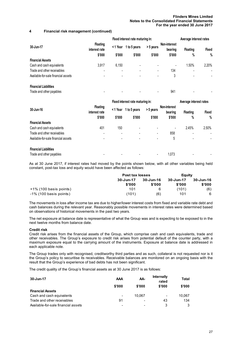# **4 Financial risk management (continued)**

|                                     | Fixed interest rate maturing in:           |                    |                        |                     |                                   | Average interest rates |                      |
|-------------------------------------|--------------------------------------------|--------------------|------------------------|---------------------|-----------------------------------|------------------------|----------------------|
| 30-Jun-17                           | <b>Floating</b><br>interest rate<br>\$'000 | < 1 Year<br>\$'000 | 1 to 5 years<br>\$'000 | > 5 years<br>\$'000 | Non-interest<br>bearing<br>\$'000 | <b>Floating</b><br>%   | <b>Fixed</b><br>$\%$ |
| <b>Financial Assets</b>             |                                            |                    |                        |                     |                                   |                        |                      |
| Cash and cash equivalents           | 3,917                                      | 6,150              |                        | ۰                   | ٠                                 | 1.50%                  | 2.20%                |
| Trade and other receivables         |                                            |                    | ۰                      | ٠                   | 134                               | ۰                      | ٠                    |
| Available-for-sale financial assets | ٠                                          |                    | ۰                      | ٠                   | 3                                 | ۰                      |                      |
| <b>Financial Liabilities</b>        |                                            |                    |                        |                     |                                   |                        |                      |
| Trade and other payables            | ۰                                          |                    |                        | ٠                   | 941                               | ۰                      |                      |

|                                     | Fixed interest rate maturing in:           |                          |                        |                     |                                   | Average interest rates  |                      |
|-------------------------------------|--------------------------------------------|--------------------------|------------------------|---------------------|-----------------------------------|-------------------------|----------------------|
| 30-Jun-16                           | <b>Floating</b><br>interest rate<br>\$'000 | <1 Year<br>\$'000        | 1 to 5 years<br>\$'000 | > 5 years<br>\$'000 | Non-interest<br>bearing<br>\$'000 | <b>Floating</b><br>$\%$ | <b>Fixed</b><br>$\%$ |
| <b>Financial Assets</b>             |                                            |                          |                        |                     |                                   |                         |                      |
| Cash and cash equivalents           | 401                                        | 150                      | ۰                      | ٠                   | ٠                                 | 2.45%                   | 2.50%                |
| Trade and other receivables         | ٠                                          | $\overline{\phantom{a}}$ |                        | ٠                   | 858                               |                         | ۰                    |
| Available-for-sale financial assets | ٠                                          | $\blacksquare$           |                        | ۰                   | 5                                 |                         | ۰                    |
| <b>Financial Liabilities</b>        |                                            |                          |                        |                     |                                   |                         |                      |
| Trade and other payables            |                                            |                          |                        |                     | 1.073                             |                         |                      |

As at 30 June 2017, if interest rates had moved by the points shown below, with all other variables being held constant, post-tax loss and equity would have been affected as follows:

|                           | Post tax losses | Eauity    |           |           |  |
|---------------------------|-----------------|-----------|-----------|-----------|--|
|                           | 30-Jun-17       | 30-Jun-16 | 30-Jun-17 | 30-Jun-16 |  |
|                           | \$'000          | \$'000    | \$'000    | \$'000    |  |
| $+1\%$ (100 basis points) | 101             | 6         | (101)     | (6)       |  |
| $-1\%$ (100 basis points) | (101)           | (6)       | 101       | 6         |  |

The movements in loss after income tax are due to higher/lower interest costs from fixed and variable rate debt and cash balances during the relevant year. Reasonably possible movements in interest rates were determined based on observations of historical movements in the past two years.

The net exposure at balance date is representative of what the Group was and is expecting to be exposed to in the next twelve months from balance date.

# **Credit risk**

Credit risk arises from the financial assets of the Group, which comprise cash and cash equivalents, trade and other receivables. The Group's exposure to credit risk arises from potential default of the counter party, with a maximum exposure equal to the carrying amount of the instruments. Exposure at balance date is addressed in each applicable note.

The Group trades only with recognised, creditworthy third parties and as such, collateral is not requested nor is it the Group's policy to securitise its receivables. Receivable balances are monitored on an ongoing basis with the result that the Group's experience of bad debts has not been significant.

The credit quality of the Group's financial assets as at 30 June 2017 is as follows:

| 30-Jun-17                           | AAA                          | AA-                      | <b>Internally</b><br>rated | Total  |
|-------------------------------------|------------------------------|--------------------------|----------------------------|--------|
|                                     | \$'000                       | \$'000                   | \$'000                     | \$'000 |
| <b>Financial Assets</b>             |                              |                          |                            |        |
| Cash and cash equivalents           | $\qquad \qquad \blacksquare$ | 10.067                   | $\overline{\phantom{0}}$   | 10.067 |
| Trade and other receivables         | 91                           | ۰                        | 43                         | 134    |
| Available-for-sale financial assets | -                            | $\overline{\phantom{0}}$ | 3                          | 3      |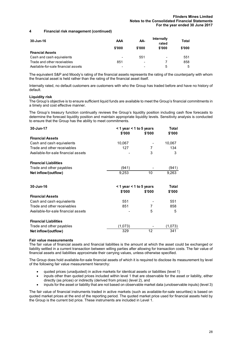# **4 Financial risk management (continued)**

| 30-Jun-16                           | AAA                      | AA-                          | <b>Internally</b><br>rated | Total  |
|-------------------------------------|--------------------------|------------------------------|----------------------------|--------|
|                                     | \$'000                   | \$'000                       | \$'000                     | \$'000 |
| <b>Financial Assets</b>             |                          |                              |                            |        |
| Cash and cash equivalents           | $\overline{\phantom{0}}$ | 551                          | $\overline{\phantom{0}}$   | 551    |
| Trade and other receivables         | 851                      | $\qquad \qquad \blacksquare$ |                            | 858    |
| Available-for-sale financial assets | -                        | $\overline{\phantom{0}}$     | 5                          | 5      |

The equivalent S&P and Moody's rating of the financial assets represents the rating of the counterparty with whom the financial asset is held rather than the rating of the financial asset itself.

Internally rated, no default customers are customers with who the Group has traded before and have no history of default.

# **Liquidity risk**

The Group's objective is to ensure sufficient liquid funds are available to meet the Group's financial commitments in a timely and cost effective manner.

The Group's treasury function continually reviews the Group's liquidity position including cash flow forecasts to determine the forecast liquidity position and maintain appropriate liquidity levels. Sensitivity analysis is conducted to ensure that the Group has the ability to meet commitments.

| 30-Jun-17                           | $<$ 1 year $<$ 1 to 5 years |        | Total        |  |
|-------------------------------------|-----------------------------|--------|--------------|--|
|                                     | \$'000                      | \$'000 | \$'000       |  |
| <b>Financial Assets</b>             |                             |        |              |  |
| Cash and cash equivalents           | 10,067                      |        | 10,067       |  |
| Trade and other receivables         | 127                         | 7      | 134          |  |
| Available-for-sale financial assets |                             | 3      | 3            |  |
| <b>Financial Liabilities</b>        |                             |        |              |  |
| Trade and other payables            | (941)                       |        | (941)        |  |
| Net inflow/(outflow)                | 9,253                       | 10     | 9,263        |  |
| 30-Jun-16                           | $<$ 1 year $<$ 1 to 5 years |        | <b>Total</b> |  |
|                                     | \$'000                      | \$'000 | \$'000       |  |
| <b>Financial Assets</b>             |                             |        |              |  |
| Cash and cash equivalents           | 551                         |        | 551          |  |
| Trade and other receivables         | 851                         | 7      | 858          |  |
| Available-for-sale financial assets |                             | 5      | 5            |  |
| <b>Financial Liabilities</b>        |                             |        |              |  |
| Trade and other payables            | (1,073)                     |        | (1,073)      |  |
| Net inflow/(outflow)                | 329                         | 12     | 341          |  |

#### **Fair value measurements**

The fair value of financial assets and financial liabilities is the amount at which the asset could be exchanged or liability settled in a current transaction between willing parties after allowing for transaction costs. The fair value of financial assets and liabilities approximate their carrying values, unless otherwise specified.

The Group does hold available-for-sale financial assets of which it is required to disclose its measurement by level of the following fair value measurement hierarchy:

- quoted prices (unadjusted) in active markets for identical assets or liabilities (level 1)
- inputs other than quoted prices included within level 1 that are observable for the asset or liability, either directly (as prices) or indirectly (derived from prices) (level 2), and
- inputs for the asset or liability that are not based on observable market data (unobservable inputs) (level 3)

The fair value of financial instruments traded in active markets (such as available-for-sale securities) is based on quoted market prices at the end of the reporting period. The quoted market price used for financial assets held by the Group is the current bid price. These instruments are included in Level 1.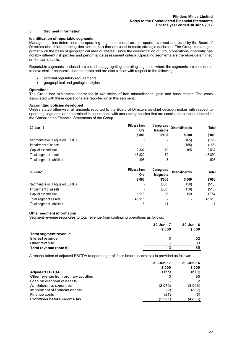### **5 Segment information**

## **Identification of reportable segments**

Management has determined the operating segments based on the reports reviewed and used by the Board of Directors (the chief operating decision maker) that are used to make strategic decisions. The Group is managed primarily on the basis of geographical area of interest, since the diversification of Group operations inherently has notably different risk profiles and performance assessment criteria. Operating segments are therefore determined on the same basis.

Reportable segments disclosed are based on aggregating operating segments where the segments are considered to have similar economic characteristics and are also similar with respect to the following:

- external regulatory requirements
- geographical and geological styles

# **Operations**

The Group has exploration operations in two styles of iron mineralisation, gold and base metals. The costs associated with these operations are reported on in this segment.

# **Accounting policies developed**

Unless stated otherwise, all amounts reported to the Board of Directors as chief decision maker with respect to operating segments are determined in accordance with accounting policies that are consistent to those adopted in the Consolidated Financial Statements of the Group.

| 30-Jun-17                        | Pilbara Iron<br><b>Ore</b> | Canegrass<br><b>Magnetite</b> | <b>Other Minerals</b> | <b>Total</b> |
|----------------------------------|----------------------------|-------------------------------|-----------------------|--------------|
|                                  | \$'000                     | \$'000                        | \$'000                | \$'000       |
| Segment result / Adjusted EBITDA | -                          | $\overline{\phantom{a}}$      | (165)                 | (165)        |
| Impairment of assets             |                            | $\blacksquare$                | (165)                 | (165)        |
| Capital expenditure              | 2.302                      | 70                            | 165                   | 2,537        |
| Total segment assets             | 48.820                     | 70                            |                       | 48,890       |
| Total segment liabilities        | 498                        |                               |                       | 503          |

| 30-Jun-16                        | Pilbara Iron<br><b>Ore</b> | <b>Canegrass</b><br><b>Magnetite</b> | <b>Other Minerals</b> | <b>Total</b> |
|----------------------------------|----------------------------|--------------------------------------|-----------------------|--------------|
|                                  | \$'000                     | \$'000                               | \$'000                | \$'000       |
| Segment result / Adjusted EBITDA |                            | (360)                                | (150)                 | (510)        |
| Impairment of assets             | $\blacksquare$             | (360)                                | (150)                 | (510)        |
| Capital expenditure              | 1.518                      | 86                                   | 150                   | 1.754        |
| Total segment assets             | 46.518                     | $\overline{\phantom{0}}$             |                       | 46.518       |
| Total segment liabilities        | 6                          | 11                                   |                       | 17           |

#### **Other segment information**

Segment revenue reconciles to total revenue from continuing operations as follows:

|                              | 30-Jun-17<br>\$'000      | 30-Jun-16<br>\$'000 |
|------------------------------|--------------------------|---------------------|
| <b>Total segment revenue</b> |                          | -                   |
| Interest revenue             | 43                       | 52                  |
| Other revenue                | $\overline{\phantom{0}}$ | 33                  |
| Total revenue (note 6)       | 43                       | 85                  |

A reconciliation of adjusted EBITDA to operating profit/loss before income tax is provided as follows:

|                                        | 30-Jun-17 | 30-Jun-16     |  |
|----------------------------------------|-----------|---------------|--|
|                                        | \$'000    | \$'000        |  |
| <b>Adjusted EBITDA</b>                 | (165)     | (510)         |  |
| Other revenue from ordinary activities | 43        | 85            |  |
| Loss on disposal of assets             |           | $\mathcal{P}$ |  |
| Administrative expenses                | (2,070)   | (3,996)       |  |
| Impairment of financial assets         | (2)       | (382)         |  |
| Finance costs                          | (27)      | (5)           |  |
| Profit/loss before income tax          | (2.221)   | (4,806)       |  |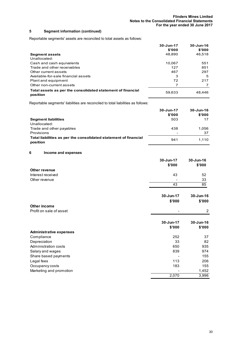# **5 Segment information (continued)**

Reportable segments' assets are reconciled to total assets as follows:

|                                                                         | 30-Jun-17<br>\$'000 | $30 - Jun-16$<br>\$'000 |
|-------------------------------------------------------------------------|---------------------|-------------------------|
| <b>Segment assets</b>                                                   | 48,890              | 46,518                  |
| Unallocated:                                                            |                     |                         |
| Cash and cash equivalents                                               | 10.067              | 551                     |
| Trade and other receivables                                             | 127                 | 851                     |
| Other current assets                                                    | 467                 | 297                     |
| Available-for-sale financial assets                                     | 3                   | 5                       |
| Plant and equipment                                                     | 72                  | 217                     |
| Other non-current assets                                                |                     |                         |
| Total assets as per the consolidated statement of financial<br>position | 59,633              | 48,446                  |

Reportable segments' liabilities are reconciled to total liabilities as follows:

|                                                                              | 30-Jun-17<br>\$'000 | 30-Jun-16<br>\$'000 |
|------------------------------------------------------------------------------|---------------------|---------------------|
| <b>Segment liabilities</b>                                                   | 503                 | 17                  |
| Unallocated:                                                                 |                     |                     |
| Trade and other payables                                                     | 438                 | 1.056               |
| Provisions                                                                   | -                   | 37                  |
| Total liabilities as per the consolidated statement of financial<br>position | 941                 | 1.110               |

# **6 Income and expenses**

|                                | 30-Jun-17           | 30-Jun-16               |
|--------------------------------|---------------------|-------------------------|
|                                | \$'000              | \$'000                  |
| <b>Other revenue</b>           |                     |                         |
| Interest received              | 43                  | 52                      |
| Other revenue                  |                     | 33                      |
|                                | 43                  | 85                      |
|                                | 30-Jun-17<br>\$'000 | $30 - Jun-16$<br>\$'000 |
| Other income                   |                     |                         |
| Profit on sale of asset        |                     | 2                       |
|                                | 30-Jun-17<br>\$'000 | 30-Jun-16<br>\$'000     |
| <b>Administrative expenses</b> |                     |                         |
| Compliance                     | 252                 | 37                      |
| Depreciation                   | 33                  | 82                      |
| Administration costs           | 650                 | 935                     |
| Salary and wages               | 839                 | 974                     |
| Share based payments           |                     | 155                     |
| Legal fees                     | 113                 | 206                     |
| Occupancy costs                | 183                 | 155                     |
| Marketing and promotion        |                     | 1,452                   |
|                                | 2,070               | 3,996                   |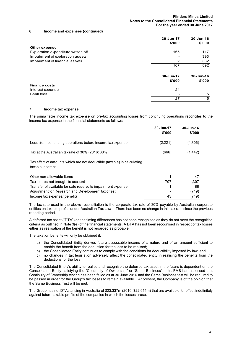#### **6 Income and expenses (continued)**

|                                     | 30-Jun-17<br>\$'000 | 30-Jun-16<br>\$'000 |
|-------------------------------------|---------------------|---------------------|
| Other expense                       |                     |                     |
| Exploration expenditure written off | 165                 | 117                 |
| Impairment of exploration assets    |                     | 393                 |
| Impairment of financial assets      | 2                   | 382                 |
|                                     | 167                 | 892                 |
|                                     | 30-Jun-17<br>\$'000 | 30-Jun-16<br>\$'000 |
| <b>Finance costs</b>                |                     |                     |
| Interest expense                    | 24                  |                     |
| Bank fees                           | 3                   | 5                   |
|                                     | 27                  | 5                   |

# **7 Income tax expense**

The prima facie income tax expense on pre-tax accounting losses from continuing operations reconciles to the income tax expense in the financial statements as follows:

|                                                                                            | 30-Jun-17<br>\$'000 | 30-Jun-16<br>\$'000 |
|--------------------------------------------------------------------------------------------|---------------------|---------------------|
| Loss from continuing operations before income tax expense                                  | (2,221)             | (4,806)             |
| Tax at the Australian tax rate of 30% (2016: 30%)                                          | (666)               | (1, 442)            |
| Tax effect of amounts which are not deductible (taxable) in calculating<br>taxable income: |                     |                     |
| Other non-allowable items                                                                  |                     | 47                  |

| Tax losses not brought to account                            | 707 | 1.307 |
|--------------------------------------------------------------|-----|-------|
| Transfer of available for sale reserve to impairment expense |     | 88    |
| Adjustment for Research and Development tax offset           |     | '749) |
| Income tax expense/(benefit)                                 | 43  | (749) |

The tax rate used in the above reconciliation is the corporate tax rate of 30% payable by Australian corporate entities on taxable profits under Australian Tax Law. There has been no change in this tax rate since the previous reporting period.

A deferred tax asset ("DTA") on the timing differences has not been recognised as they do not meet the recognition criteria as outlined in Note 3(e) of the financial statements. A DTA has not been recognised in respect of tax losses either as realisation of the benefit is not regarded as probable.

The taxation benefits will only be obtained if:

- a) the Consolidated Entity derives future assessable income of a nature and of an amount sufficient to enable the benefit from the deduction for the loss to be realised;
- b) the Consolidated Entity continues to comply with the conditions for deductibility imposed by law; and
- c) no changes in tax legislation adversely affect the consolidated entity in realising the benefits from the deductions for the loss.

The Consolidated Entity's ability to realise and recognise the deferred tax asset in the future is dependent on the Consolidated Entity satisfying the "Continuity of Ownership" or "Same Business" tests. FMS has assessed that Continuity of Ownership testing has been failed as at 30 June 2016 and the Same Business test will be required to be passed in order for the Group's tax losses to remain available. At present, the Company is of the opinion that the Same Business Test will be met.

The Group has net DTAs arising in Australia of \$23.337m (2016: \$22.611m) that are available for offset indefinitely against future taxable profits of the companies in which the losses arose.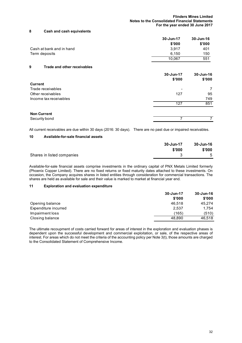#### **8 Cash and cash equivalents**

|                          | 30-Jun-17 | 30-Jun-16 |
|--------------------------|-----------|-----------|
|                          | \$'000    | \$'000    |
| Cash at bank and in hand | 3.917     | 401       |
| Term deposits            | 6.150     | 150       |
|                          | 10.067    | 551       |

# **9 Trade and other receivables**

|                        | 30-Jun-17<br>\$'000 | 30-Jun-16<br>\$'000 |
|------------------------|---------------------|---------------------|
| <b>Current</b>         |                     |                     |
| Trade receivables      |                     | 7                   |
| Other receivables      | 127                 | 95                  |
| Income tax receivables |                     | 749                 |
|                        | 127                 | 851                 |
| <b>Non Current</b>     |                     |                     |
| Security bond          |                     |                     |

All current receivables are due within 30 days (2016: 30 days). There are no past due or impaired receivables.

# **10 Available-for-sale financial assets**

|                            | 30-Jun-17 | 30-Jun-16 |
|----------------------------|-----------|-----------|
|                            | \$'000    | \$'000    |
| Shares in listed companies |           | 5         |

Available-for-sale financial assets comprise investments in the ordinary capital of PNX Metals Limited formerly (Phoenix Copper Limited). There are no fixed returns or fixed maturity dates attached to these investments. On occasion, the Company acquires shares in listed entities through consideration for commercial transactions. The shares are held as available for sale and their value is marked to market at financial year end.

# **11 Exploration and evaluation expenditure**

|                      | 30-Jun-17 | 30-Jun-16 |
|----------------------|-----------|-----------|
|                      | \$'000    | \$'000    |
| Opening balance      | 46.518    | 45.274    |
| Expenditure incurred | 2.537     | 1.754     |
| Impairment loss      | (165)     | (510)     |
| Closing balance      | 48.890    | 46.518    |

The ultimate recoupment of costs carried forward for areas of interest in the exploration and evaluation phases is dependent upon the successful development and commercial exploitation, or sale, of the respective areas of interest. For areas which do not meet the criteria of the accounting policy per Note 3(t), those amounts are charged to the Consolidated Statement of Comprehensive Income.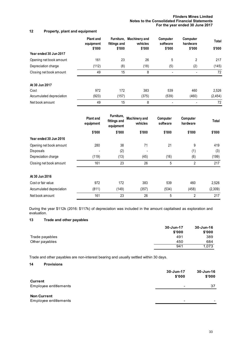# **Flinders Mines Limited Notes to the Consolidated Financial Statements For the year ended 30 June 2017**

# **12 Property, plant and equipment**

|                          | <b>Plant and</b><br>equipment<br>\$'000 | fittings and<br>\$'000 | Furniture, Machinery and<br>vehicles<br>\$'000 | Computer<br>software<br>\$'000 | Computer<br>hardware<br>\$'000 | Total<br>\$'000 |
|--------------------------|-----------------------------------------|------------------------|------------------------------------------------|--------------------------------|--------------------------------|-----------------|
| Year ended 30 Jun 2017   |                                         |                        |                                                |                                |                                |                 |
| Opening net book amount  | 161                                     | 23                     | 26                                             | 5                              | 2                              | 217             |
| Depreciation charge      | (112)                                   | (8)                    | (18)                                           | (5)                            | (2)                            | (145)           |
| Closing net book amount  | 49                                      | 15                     | 8                                              |                                |                                | 72              |
| At 30 Jun 2017           |                                         |                        |                                                |                                |                                |                 |
| Cost                     | 972                                     | 172                    | 383                                            | 539                            | 460                            | 2,526           |
| Accumulated depreciation | (923)                                   | (157)                  | (375)                                          | (539)                          | (460)                          | (2, 454)        |
| Net book amount          | 49                                      | 15                     | 8                                              | ۰                              |                                | 72              |

|                          | <b>Plant and</b><br>equipment | Furniture,<br>fittings and<br>equipment | <b>Machinery and</b><br>vehicles | Computer<br>software | Computer<br>hardware | Total   |
|--------------------------|-------------------------------|-----------------------------------------|----------------------------------|----------------------|----------------------|---------|
|                          | \$'000                        | \$'000                                  | \$'000                           | \$'000               | \$'000               | \$'000  |
| Year ended 30 Jun 2016   |                               |                                         |                                  |                      |                      |         |
| Opening net book amount  | 280                           | 38                                      | 71                               | 21                   | 9                    | 419     |
| Disposals                | $\blacksquare$                | (2)                                     | $\blacksquare$                   |                      | (1)                  | (3)     |
| Depreciation charge      | (119)                         | (13)                                    | (45)                             | (16)                 | (6)                  | (199)   |
| Closing net book amount  | 161                           | 23                                      | 26                               | 5                    | $\overline{2}$       | 217     |
| At 30 Jun 2016           |                               |                                         |                                  |                      |                      |         |
| Cost or fair value       | 972                           | 172                                     | 383                              | 539                  | 460                  | 2,526   |
| Accumulated depreciation | (811)                         | (149)                                   | (357)                            | (534)                | (458)                | (2,309) |
| Net book amount          | 161                           | 23                                      | 26                               | 5                    | 2                    | 217     |

During the year \$112k (2016: \$117k) of depreciation was included in the amount capitalised as exploration and evaluation.

# **13 Trade and other payables**

|                | 30-Jun-17 | 30-Jun-16 |
|----------------|-----------|-----------|
|                | \$'000    | \$'000    |
| Trade payables | 491       | 389       |
| Other payables | 450       | 684       |
|                | 941       | 1.073     |

Trade and other payables are non-interest bearing and usually settled within 30 days.

# **14 Provisions**

|                                             | 30-Jun-17<br>\$'000          | 30-Jun-16<br>\$'000      |
|---------------------------------------------|------------------------------|--------------------------|
| <b>Current</b><br>Employee entitlements     | $\overline{\phantom{0}}$     | 37                       |
| <b>Non Current</b><br>Employee entitlements | $\qquad \qquad \blacksquare$ | $\overline{\phantom{0}}$ |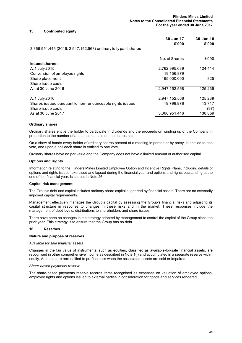#### **15 Contributed equity**

|                                                                | 30-Jun-17<br>\$'000 | 30-Jun-16<br>\$'000 |
|----------------------------------------------------------------|---------------------|---------------------|
| 3,366,951,446 (2016: 2,947,152,568) ordinary fully paid shares |                     |                     |
|                                                                | No. of Shares       | \$'000              |
| <b>Issued shares:</b>                                          |                     |                     |
| At 1 July 2015                                                 | 2,762,995,689       | 124,414             |
| Conversion of employee rights                                  | 19,156,879          |                     |
| Share placement                                                | 165,000,000         | 825                 |
| Share issue costs                                              |                     |                     |
| As at 30 June 2016                                             | 2,947,152,568       | 125,239             |
| At 1 July 2016                                                 | 2,947,152,568       | 125,239             |
| Shares issued pursuant to non-renounceable rights issues       | 419,798,878         | 13,717              |
| Share issue costs                                              |                     | (97)                |
| As at 30 June 2017                                             | 3,366,951,446       | 138,859             |
|                                                                |                     |                     |

#### **Ordinary shares**

Ordinary shares entitle the holder to participate in dividends and the proceeds on winding up of the Company in proportion to the number of and amounts paid on the shares held.

On a show of hands every holder of ordinary shares present at a meeting in person or by proxy, is entitled to one vote, and upon a poll each share is entitled to one vote.

Ordinary shares have no par value and the Company does not have a limited amount of authorised capital.

#### **Options and Rights**

Information relating to the Flinders Mines Limited Employee Option and Incentive Rights Plans, including details of options and rights issued, exercised and lapsed during the financial year and options and rights outstanding at the end of the financial year, is set out in Note 26.

#### **Capital risk management**

The Group's debt and capital includes ordinary share capital supported by financial assets. There are no externally imposed capital requirements.

Management effectively manages the Group's capital by assessing the Group's financial risks and adjusting its capital structure in response to changes in these risks and in the market. These responses include the management of debt levels, distributions to shareholders and share issues.

There have been no changes in the strategy adopted by management to control the capital of the Group since the prior year. This strategy is to ensure that the Group has no debt.

# **16 Reserves**

#### **Nature and purpose of reserves**

#### *Available for sale financial assets*

Changes in the fair value of instruments, such as equities, classified as available-for-sale financial assets, are recognised in other comprehensive income as described in Note 1(j) and accumulated in a separate reserve within equity. Amounts are reclassified to profit or loss when the associated assets are sold or impaired.

#### *Share-based payments reserve*

The share-based payments reserve records items recognised as expenses on valuation of employee options, employee rights and options issued to external parties in consideration for goods and services rendered.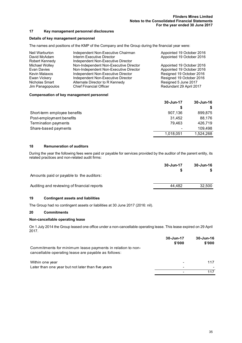# **17 Key management personnel disclosures**

### **Details of key management personnel**

The names and positions of the KMP of the Company and the Group during the financial year were:

| Neil Warburton   | Independent Non-Executive Chairman     | Appointed 19 October 2016 |
|------------------|----------------------------------------|---------------------------|
| David McAdam     | Interim Executive Director             | Appointed 19 October 2016 |
| Robert Kennedy   | Independent Non-Executive Director     |                           |
| Michael Wolley   | Non-Independent Non-Executive Director | Appointed 19 October 2016 |
| Evan Davies      | Non-Independent Non-Executive Director | Appointed 19 October 2016 |
| Kevin Malaxos    | Independent Non-Executive Director     | Resigned 19 October 2016  |
| Ewan Vickery     | Independent Non-Executive Director     | Resigned 19 October 2016  |
| Nicholas Smart   | Alternate Director to R Kennedy        | Resigned 5 June 2017      |
| Jim Panagopoulos | <b>Chief Financial Officer</b>         | Redundant 29 April 2017   |
|                  |                                        |                           |

#### **Compensation of key management personnel**

|                              | 30-Jun-17 | $30 - Jun-16$ |
|------------------------------|-----------|---------------|
|                              | S         |               |
| Short-term employee benefits | 907,136   | 899,875       |
| Post-employment benefits     | 31.452    | 88.176        |
| Termination payments         | 79.463    | 426.719       |
| Share-based payments         |           | 109.498       |
|                              | 1,018,051 | 1,524,268     |

# **18 Remuneration of auditors**

During the year the following fees were paid or payable for services provided by the auditor of the parent entity, its related practices and non-related audit firms:

|                                             | 30-Jun-17 | 30-Jun-16 |
|---------------------------------------------|-----------|-----------|
|                                             |           |           |
| Amounts paid or payable to the auditors:    |           |           |
| Auditing and reviewing of financial reports | 44.482    | 32.500    |
|                                             |           |           |

# **19 Contingent assets and liabilities**

The Group had no contingent assets or liabilities at 30 June 2017 (2016: nil).

#### **20 Commitments**

#### **Non-cancellable operating lease**

On 1 July 2014 the Group leased one office under a non-cancellable operating lease. This lease expired on 29 April 2017.

|                                                                                                                   | 30-Jun-17<br>\$'000 | $30 - Jun-16$<br>\$'000 |
|-------------------------------------------------------------------------------------------------------------------|---------------------|-------------------------|
| Commitments for minimum lease payments in relation to non-<br>cancellable operating lease are payable as follows: |                     |                         |
| Within one year                                                                                                   |                     | 117                     |
| Later than one year but not later than five years                                                                 |                     |                         |
|                                                                                                                   |                     | 117                     |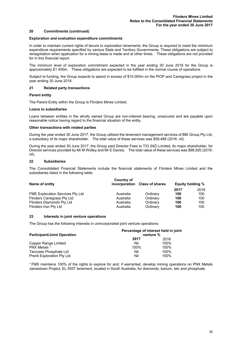# **20 Commitments (continued)**

#### **Exploration and evaluation expenditure commitments**

In order to maintain current rights of tenure to exploration tenements, the Group is required to meet the minimum expenditure requirements specified by various State and Territory Governments. These obligations are subject to renegotiation when application for a mining lease is made and at other times. These obligations are not provided for in this financial report.

The minimum level of exploration commitment expected in the year ending 30 June 2018 for the Group is approximately \$1.400m. These obligations are expected to be fulfilled in the normal course of operations.

Subject to funding, the Group expects to spend in excess of \$10.000m on the PIOP and Canegrass project in the year ending 30 June 2018.

#### **21 Related party transactions**

#### **Parent entity**

The Parent Entity within the Group is Flinders Mines Limited.

#### **Loans to subsidiaries**

Loans between entities in the wholly owned Group are non-interest bearing, unsecured and are payable upon reasonable notice having regard to the financial situation of the entity.

#### **Other transactions with related parties**

During the year ended 30 June 2017, the Group utilised the tenement management services of BBI Group Pty Ltd, a subsidiary of its major shareholder. The total value of these services was \$59,488 (2016: nil).

During the year ended 30 June 2017, the Group paid Director Fees to TIO (NZ) Limited, its major shareholder, for Director services provided by Mr M Wolley and Mr E Davies. The total value of these services was \$98,920 (2016: nil).

#### **22 Subsidiaries**

The Consolidated Financial Statements include the financial statements of Flinders Mines Limited and the subsidiaries listed in the following table:

| Name of entity                          | Country of<br>incorporation | <b>Class of shares</b> | <b>Equity holding %</b> |      |
|-----------------------------------------|-----------------------------|------------------------|-------------------------|------|
|                                         |                             |                        | 2017                    | 2016 |
| <b>FME Exploration Services Pty Ltd</b> | Australia                   | Ordinary               | 100                     | 100  |
| <b>Flinders Canegrass Pty Ltd</b>       | Australia                   | Ordinary               | 100                     | 100  |
| Flinders Diamonds Pty Ltd               | Australia                   | Ordinary               | 100                     | 100  |
| Flinders Iron Pty Ltd                   | Australia                   | Ordinary               | 100                     | 100  |

## **23 Interests in joint venture operations**

The Group has the following interests in unincorporated joint venture operations:

|                                    | Percentage of interest held in joint<br>venture % |      |
|------------------------------------|---------------------------------------------------|------|
| <b>Participant/Joint Operation</b> | 2017                                              | 2016 |
| Copper Range Limited               | Nil                                               | 100% |
| PNX Metals <sup>1</sup>            | 100%                                              | 100% |
| Tarcowie Phosphate Ltd             | Nil                                               | 100% |
| Prenti Exploration Pty Ltd         | Nil                                               | 100% |

1 FMS maintains 100% of the rights to explore for and, if warranted, develop mining operations on PNX Metals Jamestown Project, EL 5557 tenement, located in South Australia, for diamonds, barium, talc and phosphate.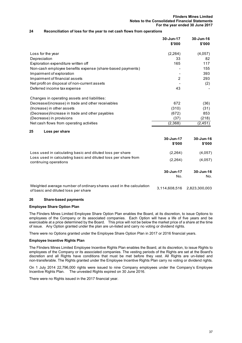#### **Flinders Mines Limited Notes to the Consolidated Financial Statements For the year ended 30 June 2017**

## **24 Reconciliation of loss for the year to net cash flows from operations**

|                                                                                         | 30-Jun-17<br>\$'000 | 30-Jun-16<br>\$'000 |
|-----------------------------------------------------------------------------------------|---------------------|---------------------|
| Loss for the year                                                                       | (2, 264)            | (4,057)             |
| Depreciation                                                                            | 33                  | 82                  |
| Exploration expenditure written off                                                     | 165                 | 117                 |
| Non-cash employee benefits expense (share-based payments)                               |                     | 155                 |
| Impairment of exploration                                                               |                     | 393                 |
| Impairment of financial assets                                                          | 2                   | 293                 |
| Net profit on disposal of non-current assets                                            |                     | (2)                 |
| Deferred income tax expense                                                             | 43                  |                     |
| Changes in operating assets and liabilities:                                            |                     |                     |
| Decrease/(increase) in trade and other receivables                                      | 672                 | (36)                |
| (Increase) in other assets                                                              | (310)               | (31)                |
| (Decrease)/increase in trade and other payables                                         | (672)               | 853                 |
| (Decrease) in provisions                                                                | (37)                | (218)               |
| Net cash flows from operating activities                                                | (2,368)             | (2, 451)            |
| Loss per share<br>25                                                                    |                     |                     |
|                                                                                         | 30-Jun-17<br>\$'000 | 30-Jun-16<br>\$'000 |
| Loss used in calculating basic and diluted loss per share                               | (2, 264)            | (4,057)             |
| Loss used in calculating basic and diluted loss per share from<br>continuing operations | (2, 264)            | (4,057)             |
|                                                                                         | 30-Jun-17<br>No.    | 30-Jun-16<br>No.    |

Weighted average number of ordinary shares used in the calculation of basic and diluted loss per share<br>of basic and diluted loss per share

#### **26 Share-based payments**

# **Employee Share Option Plan**

The Flinders Mines Limited Employee Share Option Plan enables the Board, at its discretion, to issue Options to employees of the Company or its associated companies. Each Option will have a life of five years and be exercisable at a price determined by the Board. This price will not be below the market price of a share at the time of issue. Any Option granted under the plan are un-listed and carry no voting or dividend rights.

There were no Options granted under the Employee Share Option Plan in 2017 or 2016 financial years.

#### **Employee Incentive Rights Plan**

The Flinders Mines Limited Employee Incentive Rights Plan enables the Board, at its discretion, to issue Rights to employees of the Company or its associated companies. The vesting periods of the Rights are set at the Board's discretion and all Rights have conditions that must be met before they vest. All Rights are un-listed and non-transferable. The Rights granted under the Employee Incentive Rights Plan carry no voting or dividend rights.

On 1 July 2014 22,796,000 rights were issued to nine Company employees under the Company's Employee Incentive Rights Plan. The unvested Rights expired on 30 June 2016.

There were no Rights issued in the 2017 financial year.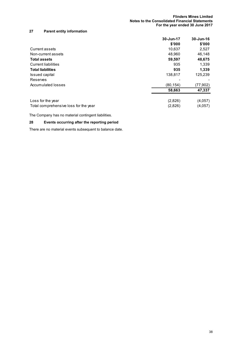# **27 Parent entity information**

|                                       | 30-Jun-17 | 30-Jun-16 |
|---------------------------------------|-----------|-----------|
|                                       | \$'000    | \$'000    |
| Current assets                        | 10,637    | 2,527     |
| Non-current assets                    | 48,960    | 46,148    |
| <b>Total assets</b>                   | 59,597    | 48,675    |
| <b>Current liabilities</b>            | 935       | 1,339     |
| <b>Total liabilities</b>              | 935       | 1,339     |
| Issued capital                        | 138,817   | 125,239   |
| Reserves                              |           |           |
| Accumulated losses                    | (80.154)  | (77,902)  |
|                                       | 58,663    | 47,337    |
| Loss for the year                     | (2,826)   | (4,057)   |
| Total comprehensive loss for the year | (2,826)   | (4,057)   |

The Company has no material contingent liabilities.

# **28 Events occurring after the reporting period**

There are no material events subsequent to balance date.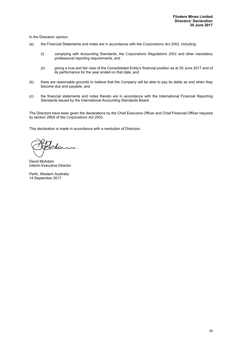In the Directors' opinion:

- (a) the Financial Statements and notes are in accordance with the *Corporations Act 2001*, including:
	- (i) complying with Accounting Standards, the *Corporations Regulations 2001* and other mandatory professional reporting requirements, and
	- (ii) giving a true and fair view of the Consolidated Entity's financial position as at 30 June 2017 and of its performance for the year ended on that date, and
- (b) there are reasonable grounds to believe that the Company will be able to pay its debts as and when they become due and payable, and
- (c) the financial statements and notes thereto are in accordance with the International Financial Reporting Standards issued by the International Accounting Standards Board.

The Directors have been given the declarations by the Chief Executive Officer and Chief Financial Officer required by section 295A of the *Corporations Act 2001*.

This declaration is made in accordance with a resolution of Directors.

Slo

David McAdam Interim Executive Director

Perth, Western Australia 14 September 2017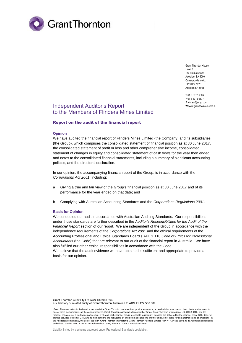

Grant Thornton House Level 3 170 Frome Street Adelaide, SA 5000 Correspondence to: GPO Box 1270 Adelaide SA 5001

**T** 61 8 8372 6666 **F** 61 8 8372 6677 **E** info.sa@au.gt.com **W** www.grantthornton.com.au

# Independent Auditor's Report to the Members of Flinders Mines Limited

# Report on the audit of the financial report

#### **Opinion**

We have audited the financial report of Flinders Mines Limited (the Company) and its subsidiaries (the Group), which comprises the consolidated statement of financial position as at 30 June 2017, the consolidated statement of profit or loss and other comprehensive income, consolidated statement of changes in equity and consolidated statement of cash flows for the year then ended, and notes to the consolidated financial statements, including a summary of significant accounting policies, and the directors' declaration.

In our opinion, the accompanying financial report of the Group, is in accordance with the *Corporations Act 2001*, including:

- a Giving a true and fair view of the Group's financial position as at 30 June 2017 and of its performance for the year ended on that date; and
- b Complying with Australian Accounting Standards and the *Corporations Regulations 2001*.

#### **Basis for Opinion**

We conducted our audit in accordance with Australian Auditing Standards. Our responsibilities under those standards are further described in the *Auditor's Responsibilities for the Audit of the Financial Report* section of our report. We are independent of the Group in accordance with the independence requirements of the *Corporations Act 2001* and the ethical requirements of the Accounting Professional and Ethical Standards Board's APES 110 *Code of Ethics for Professional Accountants* (the Code) that are relevant to our audit of the financial report in Australia. We have also fulfilled our other ethical responsibilities in accordance with the Code.

We believe that the audit evidence we have obtained is sufficient and appropriate to provide a basis for our opinion.

Grant Thornton Audit Pty Ltd ACN 130 913 594 a subsidiary or related entity of Grant Thornton Australia Ltd ABN 41 127 556 389

'Grant Thornton' refers to the brand under which the Grant Thornton member firms provide assurance, tax and advisory services to their clients and/or refers to one or more member firms, as the context requires. Grant Thornton Australia Ltd is a member firm of Grant Thornton International Ltd (GTIL). GTIL and the member firms are not a worldwide partnership. GTIL and each member firm is a separate legal entity. Services are delivered by the member firms. GTIL does not provide services to clients. GTIL and its member firms are not agents of, and do not obligate one another and are not liable for one another's acts or omissions. In provide services to clients. GTIL and its member firms ar the Australian context only, the use of the term 'Grant Thornton' may refer to Grant Thornton Australia Limited ABN 41 127 556 389 and its Australian subsidiaries<br>and related entities. GTIL is not an Australian related ent

Liability limited by a scheme approved under Professional Standards Legislation.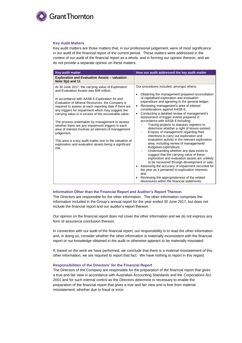

#### **Key Audit Matters**

Key audit matters are those matters that, in our professional judgement, were of most significance in our audit of the financial report of the current period. These matters were addressed in the context of our audit of the financial report as a whole, and in forming our opinion thereon, and we do not provide a separate opinion on these matters.

| <b>Key audit matter</b>                                                                                                                                                                                                                                                                                                                                                                                                                                                                                                                                                                                                                                                           | How our audit addressed the key audit matter                                                                                                                                                                                                                                                                                                                                                                                                                                                                                                                                                                                                                                                                                                                                                                                                                                                                                                                                                                                                                                                                                                  |
|-----------------------------------------------------------------------------------------------------------------------------------------------------------------------------------------------------------------------------------------------------------------------------------------------------------------------------------------------------------------------------------------------------------------------------------------------------------------------------------------------------------------------------------------------------------------------------------------------------------------------------------------------------------------------------------|-----------------------------------------------------------------------------------------------------------------------------------------------------------------------------------------------------------------------------------------------------------------------------------------------------------------------------------------------------------------------------------------------------------------------------------------------------------------------------------------------------------------------------------------------------------------------------------------------------------------------------------------------------------------------------------------------------------------------------------------------------------------------------------------------------------------------------------------------------------------------------------------------------------------------------------------------------------------------------------------------------------------------------------------------------------------------------------------------------------------------------------------------|
| <b>Exploration and Evaluation Assets - valuation</b><br>Note $3(p)$ and 11                                                                                                                                                                                                                                                                                                                                                                                                                                                                                                                                                                                                        |                                                                                                                                                                                                                                                                                                                                                                                                                                                                                                                                                                                                                                                                                                                                                                                                                                                                                                                                                                                                                                                                                                                                               |
| At 30 June 2017, the carrying value of Exploration<br>and Evaluation Assets was \$49 million.<br>In accordance with AASB 6 Exploration for and<br>Evaluation of Mineral Resources, the Company is<br>required to assess at each reporting date if there are<br>any triggers for impairment which may suggest the<br>carrying value is in excess of the recoverable value.<br>The process undertaken by management to assess<br>whether there are any impairment triggers in each<br>area of interest involves an element of management<br>judgement.<br>This area is a key audit matter due to the valuation of<br>exploration and evaluation assets being a significant<br>risk. | Our procedures included, amongst others:<br>Obtaining the management prepared reconciliation<br>of capitalised exploration and evaluation<br>expenditure and agreeing to the general ledger;<br>Reviewing management's area of interest<br>considerations against AASB 6;<br>Conducting a detailed review of management's<br>$\bullet$<br>assessment of trigger events prepared in<br>accordance with AASB 6 including;<br>Tracing projects to statutory registers to<br>determine whether a right of tenure existed;<br>Enquiry of management regarding their<br>intentions to carry out exploration and<br>evaluation activity in the relevant exploration<br>area, including review of managements'<br>budgeted expenditure;<br>Understanding whether any data exists to<br>suggest that the carrying value of these<br>exploration and evaluation assets are unlikely<br>to be recovered through development or sale;<br>• Assessing the accuracy of impairment recorded for<br>the year as it pertained to exploration interests;<br>and<br>Reviewing the appropriateness of the related<br>disclosures within the financial statements. |

#### **Information Other than the Financial Report and Auditor's Report Thereon**

The Directors are responsible for the other information. The other information comprises the information included in the Group's annual report for the year ended 30 June 2017, but does not include the financial report and our auditor's report thereon.

Our opinion on the financial report does not cover the other information and we do not express any form of assurance conclusion thereon.

In connection with our audit of the financial report, our responsibility is to read the other information and, in doing so, consider whether the other information is materially inconsistent with the financial report or our knowledge obtained in the audit or otherwise appears to be materially misstated.

If, based on the work we have performed, we conclude that there is a material misstatement of this other information, we are required to report that fact. We have nothing to report in this regard.

#### **Responsibilities of the Directors' for the Financial Report**

The Directors of the Company are responsible for the preparation of the financial report that gives a true and fair view in accordance with Australian Accounting Standards and the *Corporations Act 2001* and for such internal control as the Directors determine is necessary to enable the preparation of the financial report that gives a true and fair view and is free from material misstatement, whether due to fraud or error.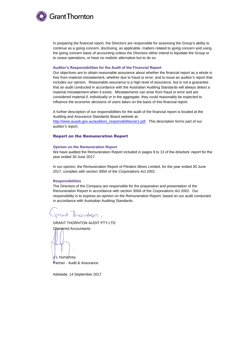

In preparing the financial report, the Directors are responsible for assessing the Group's ability to continue as a going concern, disclosing, as applicable, matters related to going concern and using the going concern basis of accounting unless the Directors either intend to liquidate the Group or to cease operations, or have no realistic alternative but to do so.

#### **Auditor's Responsibilities for the Audit of the Financial Report**

Our objectives are to obtain reasonable assurance about whether the financial report as a whole is free from material misstatement, whether due to fraud or error, and to issue an auditor's report that includes our opinion. Reasonable assurance is a high level of assurance, but is not a guarantee that an audit conducted in accordance with the Australian Auditing Standards will always detect a material misstatement when it exists. Misstatements can arise from fraud or error and are considered material if, individually or in the aggregate, they could reasonably be expected to influence the economic decisions of users taken on the basis of this financial report.

A further description of our responsibilities for the audit of the financial report is located at the Auditing and Assurance Standards Board website at:

[http://www.auasb.gov.au/auditors\\_responsibilities/ar1.pdf.](http://www.auasb.gov.au/auditors_responsibilities/ar1.pdf) This description forms part of our auditor's report.

# Report on the Remuneration Report

#### **Opinion on the Remuneration Report**

We have audited the Remuneration Report included in pages 9 to 13 of the directors' report for the year ended 30 June 2017.

In our opinion, the Remuneration Report of Flinders Mines Limited, for the year ended 30 June 2017, complies with section 300A of the *Corporations Act 2001*.

#### **Responsibilities**

The Directors of the Company are responsible for the preparation and presentation of the Remuneration Report in accordance with section 300A of the *Corporations Act 2001*. Our responsibility is to express an opinion on the Remuneration Report, based on our audit conducted in accordance with Australian Auditing Standards.

Frant Thornton,

GRANT THORNTON AUDIT PTY LTD

Chartered Accountants

J L Humphrey Partner - Audit & Assurance

Adelaide, 14 September 2017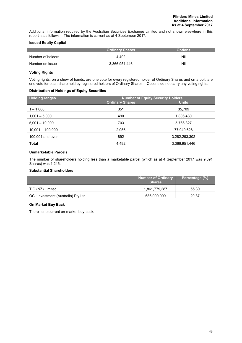Additional information required by the Australian Securities Exchange Limited and not shown elsewhere in this report is as follows: The information is current as at 4 September 2017.

# **Issued Equity Capital**

|                   | <b>Ordinary Shares</b> | Options |
|-------------------|------------------------|---------|
| Number of holders | 4.492                  | Nil     |
| Number on issue   | 3,366,951,446          | Nil     |

# **Voting Rights**

Voting rights, on a show of hands, are one vote for every registered holder of Ordinary Shares and on a poll, are one vote for each share held by registered holders of Ordinary Shares. Options do not carry any voting rights.

# **Distribution of Holdings of Equity Securities**

| <b>Holding ranges</b> | <b>Number of Equity Security Holders</b> |               |  |  |
|-----------------------|------------------------------------------|---------------|--|--|
|                       | <b>Ordinary Shares</b>                   | <b>Units</b>  |  |  |
| $1 - 1,000$           | 351                                      | 35,709        |  |  |
| $1,001 - 5,000$       | 490                                      | 1,806,480     |  |  |
| $5,001 - 10,000$      | 703                                      | 5,766,327     |  |  |
| $10,001 - 100,000$    | 2,056                                    | 77,049,628    |  |  |
| 100,001 and over      | 892                                      | 3,282,293,302 |  |  |
| <b>Total</b>          | 4,492                                    | 3,366,951,446 |  |  |

# **Unmarketable Parcels**

The number of shareholders holding less than a marketable parcel (which as at 4 September 2017 was 9,091 Shares) was 1,246.

# **Substantial Shareholders**

|                                    | <b>Number of Ordinary</b><br><b>Shares</b> | Percentage (%) |
|------------------------------------|--------------------------------------------|----------------|
| TIO (NZ) Limited                   | 1,861,779,287                              | 55.30          |
| OCJ Investment (Australia) Pty Ltd | 686,000,000                                | 20.37          |

# **On Market Buy Back**

There is no current on-market buy-back.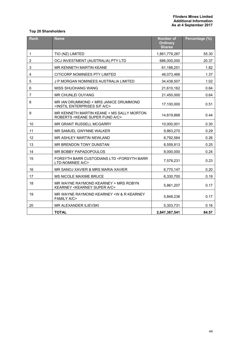# **Top 20 Shareholders**

| <b>Rank</b>    | <b>Name</b>                                                                                   | <b>Number of</b><br><b>Ordinary</b><br><b>Shares</b> | Percentage (%) |
|----------------|-----------------------------------------------------------------------------------------------|------------------------------------------------------|----------------|
| 1              | TIO (NZ) LIMITED                                                                              | 1,861,779,287                                        | 55.30          |
| $\overline{c}$ | OCJ INVESTMENT (AUSTRALIA) PTY LTD                                                            | 686,000,000                                          | 20.37          |
| 3              | MR KENNETH MARTIN KEANE                                                                       | 61,188,251                                           | 1.82           |
| 4              | CITICORP NOMINEES PTY LIMITED                                                                 | 46,073,466                                           | 1.37           |
| 5              | J P MORGAN NOMINEES AUSTRALIA LIMITED                                                         | 34,438,507                                           | 1.02           |
| 6              | <b>MISS SHUOHANG WANG</b>                                                                     | 21,610,162                                           | 0.64           |
| 7              | MR CHUNLEI OUYANG                                                                             | 21,450,000                                           | 0.64           |
| 8              | MR IAN DRUMMOND + MRS JANICE DRUMMOND<br><instil a="" c="" enterprises="" f="" s=""></instil> | 17,100,000                                           | 0.51           |
| 9              | MR KENNETH MARTIN KEANE + MS SALLY MORTON<br>ROBERTS < KEANE SUPER FUND A/C>                  | 14,819,868                                           | 0.44           |
| 10             | MR GRANT RUSSELL MCGARRY                                                                      | 10,000,001                                           | 0.30           |
| 11             | MR SAMUEL GWYNNE WALKER                                                                       | 9,863,270                                            | 0.29           |
| 12             | MR ASHLEY MARTIN NEWLAND                                                                      | 8,792,564                                            | 0.26           |
| 13             | MR BRENDON TONY DUNSTAN                                                                       | 8,559,913                                            | 0.25           |
| 14             | MR BOBBY PAPADOPOULOS                                                                         | 8.000.000                                            | 0.24           |
| 15             | FORSYTH BARR CUSTODIANS LTD <forsyth barr<br="">LTD-NOMINEE A/C&gt;</forsyth>                 | 7,578,231                                            | 0.23           |
| 16             | MR SANOJ XAVIER & MRS MARIA XAVIER                                                            | 6,770,147                                            | 0.20           |
| 17             | MS NICOLE MAXIME BRUCE                                                                        | 6,330,700                                            | 0.19           |
| 18             | MR WAYNE RAYMOND KEARNEY + MRS ROBYN<br>KEARNEY < KEARNEY SUPER A/C>                          | 5,861,207                                            | 0.17           |
| 19             | MR WAYNE RAYMOND KEARNEY < W & R KEARNEY<br><b>FAMILY A/C&gt;</b>                             | 5,848,236                                            | 0.17           |
| 20             | MR ALEXANDER ILIEVSKI                                                                         | 5,303,731                                            | 0.16           |
|                | <b>TOTAL</b>                                                                                  | 2,847,367,541                                        | 84.57          |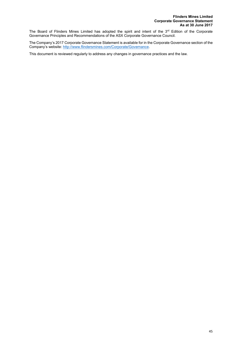The Board of Flinders Mines Limited has adopted the spirit and intent of the 3<sup>rd</sup> Edition of the Corporate Governance Principles and Recommendations of the ASX Corporate Governance Council.

The Company's 2017 Corporate Governance Statement is available for in the Corporate Governance section of the Company's website: http://www.flindersmines.com/Corporate/Governance.

This document is reviewed regularly to address any changes in governance practices and the law.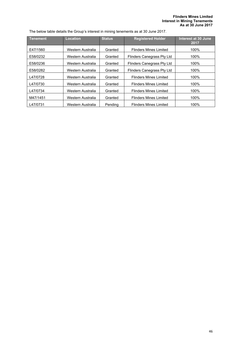# **Flinders Mines Limited Interest in Mining Tenements As at 30 June 2017**

The below table details the Group's interest in mining tenements as at 30 June 2017.

| Tenement | <b>Location</b>   | <b>Status</b> | <b>Registered Holder</b>       | Interest at 30 June<br>2017 |
|----------|-------------------|---------------|--------------------------------|-----------------------------|
| E47/1560 | Western Australia | Granted       | Flinders Mines Limited         | 100%                        |
| E58/0232 | Western Australia | Granted       | Flinders Canegrass Pty Ltd     | 100%                        |
| E58/0236 | Western Australia | Granted       | Flinders Canegrass Pty Ltd     | 100%                        |
| E58/0282 | Western Australia | Granted       | Flinders Canegrass Pty Ltd     | 100%                        |
| L47/0728 | Western Australia | Granted       | <b>Flinders Mines Limited</b>  | 100%                        |
| L47/0730 | Western Australia | Granted       | <b>Flinders Mines I imited</b> | 100%                        |
| L47/0734 | Western Australia | Granted       | <b>Flinders Mines Limited</b>  | 100%                        |
| M47/1451 | Western Australia | Granted       | Flinders Mines I imited        | 100%                        |
| L47/0731 | Western Australia | Pendina       | Flinders Mines I imited        | 100%                        |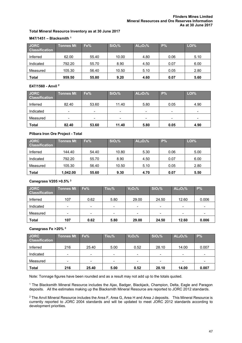# **Total Mineral Resource Inventory as at 30 June 2017**

# **M47/1451 – Blacksmith 1**

| <b>JORC</b><br><b>Classification</b> | Tonnes Mt | Fe%   | SiO <sub>2</sub> % | AL <sub>2</sub> O <sub>3</sub> % | P%   | LOI% |
|--------------------------------------|-----------|-------|--------------------|----------------------------------|------|------|
| Inferred                             | 62.00     | 55.40 | 10.00              | 4.80                             | 0.06 | 5.10 |
| Indicated                            | 792.20    | 55.70 | 8.90               | 4.50                             | 0.07 | 6.00 |
| Measured                             | 105.30    | 56.40 | 10.50              | 5.10                             | 0.05 | 2.80 |
| <b>Total</b>                         | 959.50    | 55.80 | 9.20               | 4.60                             | 0.07 | 5.60 |

# **E47/1560 - Anvil 2**

| <b>JORC</b><br><b>Classification</b> | <b>Tonnes Mt</b> | Fe%            | SiO <sub>2</sub> % | AL <sub>2</sub> O <sub>3</sub> % | P%   | LOI% |
|--------------------------------------|------------------|----------------|--------------------|----------------------------------|------|------|
| Inferred                             | 82.40            | 53.60          | 11.40              | 5.80                             | 0.05 | 4.90 |
| Indicated                            | $\qquad \qquad$  | $\blacksquare$ | $\blacksquare$     | $\overline{\phantom{a}}$         |      |      |
| Measured                             | -                | $\,$           | $\qquad \qquad$    | $\blacksquare$                   | -    | $\,$ |
| <b>Total</b>                         | 82.40            | 53.60          | 11.40              | 5.80                             | 0.05 | 4.90 |

# **Pilbara Iron Ore Project - Total**

| <b>JORC</b><br><b>Classification</b> | Tonnes Mt <sup>1</sup> | Fe%   | SiO <sub>2</sub> % | AL <sub>2</sub> O <sub>3</sub> % | $P\%$ | LOI% |
|--------------------------------------|------------------------|-------|--------------------|----------------------------------|-------|------|
| Inferred                             | 144.40                 | 54.40 | 10.80              | 5.30                             | 0.06  | 5.00 |
| Indicated                            | 792.20                 | 55.70 | 8.90               | 4.50                             | 0.07  | 6.00 |
| Measured                             | 105.30                 | 56.40 | 10.50              | 5.10                             | 0.05  | 2.80 |
| <b>Total</b>                         | 1.042.00               | 55.60 | 9.30               | 4.70                             | 0.07  | 5.50 |

# **Canegrass V205 >0.5% 3**

| <b>JORC</b><br><b>Classification</b> | Tonnes Mt | Fe%             | Tio <sub>2</sub> %       | V <sub>2</sub> O <sub>5</sub> % | SiO <sub>2</sub> % | AL <sub>2</sub> O <sub>3</sub> % | P%                       |
|--------------------------------------|-----------|-----------------|--------------------------|---------------------------------|--------------------|----------------------------------|--------------------------|
| Inferred                             | 107       | 0.62            | 5.80                     | 29.00                           | 24.50              | 12.60                            | 0.006                    |
| Indicated                            | -         | $\blacksquare$  | $\overline{\phantom{a}}$ | $\overline{\phantom{0}}$        | -                  | $\overline{\phantom{0}}$         | ۰                        |
| Measured                             | -         | $\qquad \qquad$ | $\,$                     | $\overline{\phantom{0}}$        |                    |                                  | $\overline{\phantom{0}}$ |
| <b>Total</b>                         | 107       | 0.62            | 5.80                     | 29.00                           | 24.50              | 12.60                            | 0.006                    |

# **Canegrass Fe >20% 3**

| <b>JORC</b><br><b>Classification</b> | <b>Tonnes Mt</b> | Fe%                      | Tio <sub>2</sub> %       | V <sub>2</sub> O <sub>5</sub> % | SiO <sub>2</sub> % | AL <sub>2</sub> O <sub>3</sub> % | $P\%$                    |
|--------------------------------------|------------------|--------------------------|--------------------------|---------------------------------|--------------------|----------------------------------|--------------------------|
| Inferred                             | 216              | 25.40                    | 5.00                     | 0.52                            | 28.10              | 14.00                            | 0.007                    |
| Indicated                            |                  | $\overline{\phantom{0}}$ | $\blacksquare$           |                                 |                    |                                  | $\,$                     |
| Measured                             |                  | -                        | $\overline{\phantom{a}}$ |                                 | -                  |                                  | $\overline{\phantom{a}}$ |
| Total                                | 216              | 25.40                    | 5.00                     | 0.52                            | 28.10              | 14.00                            | 0.007                    |

Note: Tonnage figures have been rounded and as a result may not add up to the totals quoted.

1 The Blacksmith Mineral Resource includes the Ajax, Badger, Blackjack, Champion, Delta, Eagle and Paragon deposits. All the estimates making up the Blacksmith Mineral Resource are reported to JORC 2012 standards.

 $^2$  The Anvil Mineral Resource includes the Area F, Area G, Area H and Area J deposits.  $\,$  This Mineral Resource is currently reported to JORC 2004 standards and will be updated to meet JORC 2012 standards according to development priorities.